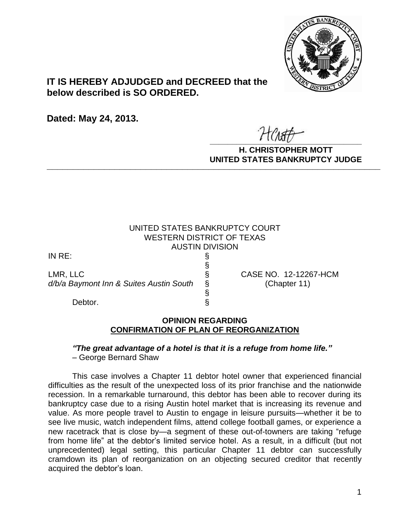

# **IT IS HEREBY ADJUDGED and DECREED that the below described is SO ORDERED.**

**Dated: May 24, 2013.**

 $\overline{r}$   $\overline{r}$   $\overline{r}$   $\overline{r}$   $\overline{r}$   $\overline{r}$   $\overline{r}$   $\overline{r}$   $\overline{r}$   $\overline{r}$   $\overline{r}$   $\overline{r}$   $\overline{r}$   $\overline{r}$   $\overline{r}$   $\overline{r}$   $\overline{r}$   $\overline{r}$   $\overline{r}$   $\overline{r}$   $\overline{r}$   $\overline{r}$   $\overline{r}$   $\overline{r}$   $\overline{$ 

**H. CHRISTOPHER MOTT UNITED STATES BANKRUPTCY JUDGE PATTED DRIVING TOT 00DCL** 

## UNITED STATES BANKRUPTCY COURT WESTERN DISTRICT OF TEXAS AUSTIN DIVISION

§

§

IN RE: §

LMR, LLC § CASE NO. 12-12267-HCM *d/b/a Baymont Inn & Suites Austin South* § (Chapter 11)

Debtor.  $\S$ 

### **OPINION REGARDING CONFIRMATION OF PLAN OF REORGANIZATION**

#### *"The great advantage of a hotel is that it is a refuge from home life."* – George Bernard Shaw

This case involves a Chapter 11 debtor hotel owner that experienced financial difficulties as the result of the unexpected loss of its prior franchise and the nationwide recession. In a remarkable turnaround, this debtor has been able to recover during its bankruptcy case due to a rising Austin hotel market that is increasing its revenue and value. As more people travel to Austin to engage in leisure pursuits—whether it be to see live music, watch independent films, attend college football games, or experience a new racetrack that is close by—a segment of these out-of-towners are taking "refuge from home life" at the debtor's limited service hotel. As a result, in a difficult (but not unprecedented) legal setting, this particular Chapter 11 debtor can successfully cramdown its plan of reorganization on an objecting secured creditor that recently acquired the debtor's loan.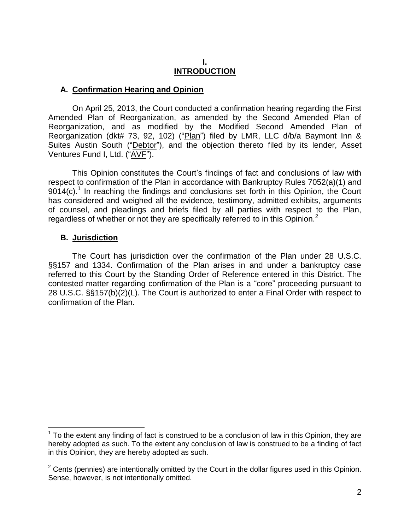#### **I. INTRODUCTION**

#### **A. Confirmation Hearing and Opinion**

On April 25, 2013, the Court conducted a confirmation hearing regarding the First Amended Plan of Reorganization, as amended by the Second Amended Plan of Reorganization, and as modified by the Modified Second Amended Plan of Reorganization (dkt# 73, 92, 102) ("Plan") filed by LMR, LLC d/b/a Baymont Inn & Suites Austin South ("Debtor"), and the objection thereto filed by its lender, Asset Ventures Fund I, Ltd. ("AVE").

This Opinion constitutes the Court's findings of fact and conclusions of law with respect to confirmation of the Plan in accordance with Bankruptcy Rules 7052(a)(1) and  $9014(c)$ .<sup>1</sup> In reaching the findings and conclusions set forth in this Opinion, the Court has considered and weighed all the evidence, testimony, admitted exhibits, arguments of counsel, and pleadings and briefs filed by all parties with respect to the Plan, regardless of whether or not they are specifically referred to in this Opinion. $2$ 

#### **B. Jurisdiction**

 $\overline{a}$ 

The Court has jurisdiction over the confirmation of the Plan under 28 U.S.C. §§157 and 1334. Confirmation of the Plan arises in and under a bankruptcy case referred to this Court by the Standing Order of Reference entered in this District. The contested matter regarding confirmation of the Plan is a "core" proceeding pursuant to 28 U.S.C. §§157(b)(2)(L). The Court is authorized to enter a Final Order with respect to confirmation of the Plan.

 $1$  To the extent any finding of fact is construed to be a conclusion of law in this Opinion, they are hereby adopted as such. To the extent any conclusion of law is construed to be a finding of fact in this Opinion, they are hereby adopted as such.

 $2$  Cents (pennies) are intentionally omitted by the Court in the dollar figures used in this Opinion. Sense, however, is not intentionally omitted.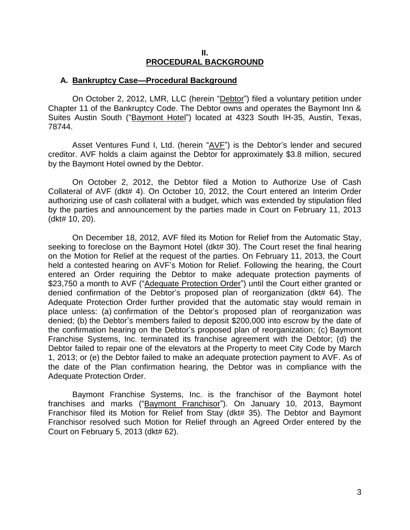#### **II. PROCEDURAL BACKGROUND**

#### **A. Bankruptcy Case—Procedural Background**

On October 2, 2012, LMR, LLC (herein "Debtor") filed a voluntary petition under Chapter 11 of the Bankruptcy Code. The Debtor owns and operates the Baymont Inn & Suites Austin South ("Baymont Hotel") located at 4323 South IH-35, Austin, Texas, 78744.

Asset Ventures Fund I, Ltd. (herein "AVF") is the Debtor's lender and secured creditor. AVF holds a claim against the Debtor for approximately \$3.8 million, secured by the Baymont Hotel owned by the Debtor.

On October 2, 2012, the Debtor filed a Motion to Authorize Use of Cash Collateral of AVF (dkt# 4). On October 10, 2012, the Court entered an Interim Order authorizing use of cash collateral with a budget, which was extended by stipulation filed by the parties and announcement by the parties made in Court on February 11, 2013 (dkt# 10, 20).

On December 18, 2012, AVF filed its Motion for Relief from the Automatic Stay, seeking to foreclose on the Baymont Hotel (dkt# 30). The Court reset the final hearing on the Motion for Relief at the request of the parties. On February 11, 2013, the Court held a contested hearing on AVF's Motion for Relief. Following the hearing, the Court entered an Order requiring the Debtor to make adequate protection payments of \$23,750 a month to AVF ("Adequate Protection Order") until the Court either granted or denied confirmation of the Debtor's proposed plan of reorganization (dkt# 64). The Adequate Protection Order further provided that the automatic stay would remain in place unless: (a) confirmation of the Debtor's proposed plan of reorganization was denied; (b) the Debtor's members failed to deposit \$200,000 into escrow by the date of the confirmation hearing on the Debtor's proposed plan of reorganization; (c) Baymont Franchise Systems, Inc. terminated its franchise agreement with the Debtor; (d) the Debtor failed to repair one of the elevators at the Property to meet City Code by March 1, 2013; or (e) the Debtor failed to make an adequate protection payment to AVF. As of the date of the Plan confirmation hearing, the Debtor was in compliance with the Adequate Protection Order.

Baymont Franchise Systems, Inc. is the franchisor of the Baymont hotel franchises and marks ("Baymont Franchisor"). On January 10, 2013, Baymont Franchisor filed its Motion for Relief from Stay (dkt# 35). The Debtor and Baymont Franchisor resolved such Motion for Relief through an Agreed Order entered by the Court on February 5, 2013 (dkt# 62).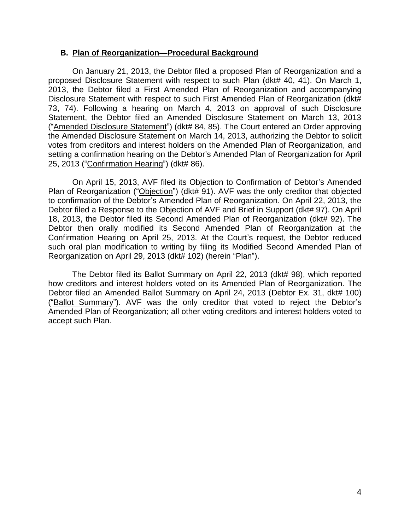#### **B. Plan of Reorganization—Procedural Background**

On January 21, 2013, the Debtor filed a proposed Plan of Reorganization and a proposed Disclosure Statement with respect to such Plan (dkt# 40, 41). On March 1, 2013, the Debtor filed a First Amended Plan of Reorganization and accompanying Disclosure Statement with respect to such First Amended Plan of Reorganization (dkt# 73, 74). Following a hearing on March 4, 2013 on approval of such Disclosure Statement, the Debtor filed an Amended Disclosure Statement on March 13, 2013 ("Amended Disclosure Statement") (dkt# 84, 85). The Court entered an Order approving the Amended Disclosure Statement on March 14, 2013, authorizing the Debtor to solicit votes from creditors and interest holders on the Amended Plan of Reorganization, and setting a confirmation hearing on the Debtor's Amended Plan of Reorganization for April 25, 2013 ("Confirmation Hearing") (dkt# 86).

On April 15, 2013, AVF filed its Objection to Confirmation of Debtor's Amended Plan of Reorganization ("Objection") (dkt# 91). AVF was the only creditor that objected to confirmation of the Debtor's Amended Plan of Reorganization. On April 22, 2013, the Debtor filed a Response to the Objection of AVF and Brief in Support (dkt# 97). On April 18, 2013, the Debtor filed its Second Amended Plan of Reorganization (dkt# 92). The Debtor then orally modified its Second Amended Plan of Reorganization at the Confirmation Hearing on April 25, 2013. At the Court's request, the Debtor reduced such oral plan modification to writing by filing its Modified Second Amended Plan of Reorganization on April 29, 2013 (dkt# 102) (herein "Plan").

The Debtor filed its Ballot Summary on April 22, 2013 (dkt# 98), which reported how creditors and interest holders voted on its Amended Plan of Reorganization. The Debtor filed an Amended Ballot Summary on April 24, 2013 (Debtor Ex. 31, dkt# 100) ("Ballot Summary"). AVF was the only creditor that voted to reject the Debtor's Amended Plan of Reorganization; all other voting creditors and interest holders voted to accept such Plan.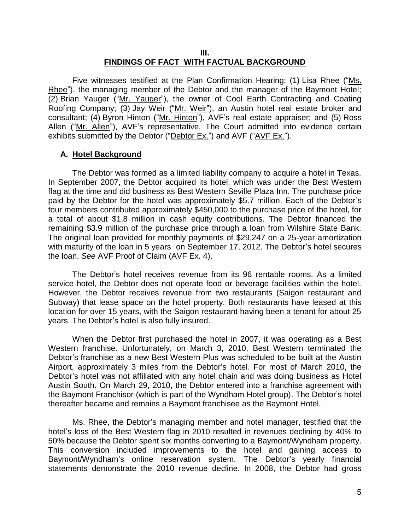#### **III. FINDINGS OF FACT WITH FACTUAL BACKGROUND**

Five witnesses testified at the Plan Confirmation Hearing: (1) Lisa Rhee ("Ms. Rhee"), the managing member of the Debtor and the manager of the Baymont Hotel; (2) Brian Yauger ("Mr. Yauger"), the owner of Cool Earth Contracting and Coating Roofing Company; (3) Jay Weir ("Mr. Weir"), an Austin hotel real estate broker and consultant; (4) Byron Hinton ("Mr. Hinton"), AVF's real estate appraiser; and (5) Ross Allen ("Mr. Allen"), AVF's representative. The Court admitted into evidence certain exhibits submitted by the Debtor ("Debtor Ex.") and AVF ("AVF Ex.").

### **A. Hotel Background**

The Debtor was formed as a limited liability company to acquire a hotel in Texas. In September 2007, the Debtor acquired its hotel, which was under the Best Western flag at the time and did business as Best Western Seville Plaza Inn. The purchase price paid by the Debtor for the hotel was approximately \$5.7 million. Each of the Debtor's four members contributed approximately \$450,000 to the purchase price of the hotel, for a total of about \$1.8 million in cash equity contributions. The Debtor financed the remaining \$3.9 million of the purchase price through a loan from Wilshire State Bank. The original loan provided for monthly payments of \$29,247 on a 25-year amortization with maturity of the loan in 5 years on September 17, 2012. The Debtor's hotel secures the loan. *See* AVF Proof of Claim (AVF Ex. 4).

The Debtor's hotel receives revenue from its 96 rentable rooms. As a limited service hotel, the Debtor does not operate food or beverage facilities within the hotel. However, the Debtor receives revenue from two restaurants (Saigon restaurant and Subway) that lease space on the hotel property. Both restaurants have leased at this location for over 15 years, with the Saigon restaurant having been a tenant for about 25 years. The Debtor's hotel is also fully insured.

When the Debtor first purchased the hotel in 2007, it was operating as a Best Western franchise. Unfortunately, on March 3, 2010, Best Western terminated the Debtor's franchise as a new Best Western Plus was scheduled to be built at the Austin Airport, approximately 3 miles from the Debtor's hotel. For most of March 2010, the Debtor's hotel was not affiliated with any hotel chain and was doing business as Hotel Austin South. On March 29, 2010, the Debtor entered into a franchise agreement with the Baymont Franchisor (which is part of the Wyndham Hotel group). The Debtor's hotel thereafter became and remains a Baymont franchisee as the Baymont Hotel.

Ms. Rhee, the Debtor's managing member and hotel manager, testified that the hotel's loss of the Best Western flag in 2010 resulted in revenues declining by 40% to 50% because the Debtor spent six months converting to a Baymont/Wyndham property. This conversion included improvements to the hotel and gaining access to Baymont/Wyndham's online reservation system. The Debtor's yearly financial statements demonstrate the 2010 revenue decline. In 2008, the Debtor had gross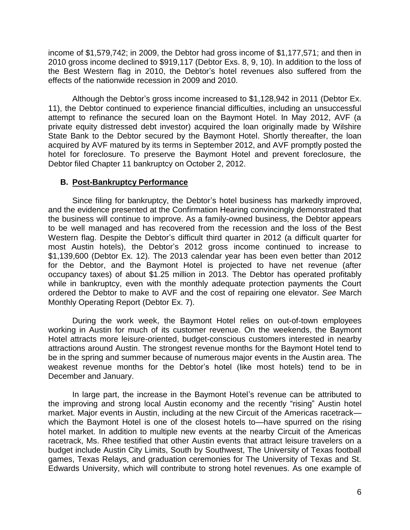income of \$1,579,742; in 2009, the Debtor had gross income of \$1,177,571; and then in 2010 gross income declined to \$919,117 (Debtor Exs. 8, 9, 10). In addition to the loss of the Best Western flag in 2010, the Debtor's hotel revenues also suffered from the effects of the nationwide recession in 2009 and 2010.

Although the Debtor's gross income increased to \$1,128,942 in 2011 (Debtor Ex. 11), the Debtor continued to experience financial difficulties, including an unsuccessful attempt to refinance the secured loan on the Baymont Hotel. In May 2012, AVF (a private equity distressed debt investor) acquired the loan originally made by Wilshire State Bank to the Debtor secured by the Baymont Hotel. Shortly thereafter, the loan acquired by AVF matured by its terms in September 2012, and AVF promptly posted the hotel for foreclosure. To preserve the Baymont Hotel and prevent foreclosure, the Debtor filed Chapter 11 bankruptcy on October 2, 2012.

### **B. Post-Bankruptcy Performance**

Since filing for bankruptcy, the Debtor's hotel business has markedly improved, and the evidence presented at the Confirmation Hearing convincingly demonstrated that the business will continue to improve. As a family-owned business, the Debtor appears to be well managed and has recovered from the recession and the loss of the Best Western flag. Despite the Debtor's difficult third quarter in 2012 (a difficult quarter for most Austin hotels), the Debtor's 2012 gross income continued to increase to \$1,139,600 (Debtor Ex. 12). The 2013 calendar year has been even better than 2012 for the Debtor, and the Baymont Hotel is projected to have net revenue (after occupancy taxes) of about \$1.25 million in 2013. The Debtor has operated profitably while in bankruptcy, even with the monthly adequate protection payments the Court ordered the Debtor to make to AVF and the cost of repairing one elevator. *See* March Monthly Operating Report (Debtor Ex. 7).

During the work week, the Baymont Hotel relies on out-of-town employees working in Austin for much of its customer revenue. On the weekends, the Baymont Hotel attracts more leisure-oriented, budget-conscious customers interested in nearby attractions around Austin. The strongest revenue months for the Baymont Hotel tend to be in the spring and summer because of numerous major events in the Austin area. The weakest revenue months for the Debtor's hotel (like most hotels) tend to be in December and January.

In large part, the increase in the Baymont Hotel's revenue can be attributed to the improving and strong local Austin economy and the recently "rising" Austin hotel market. Major events in Austin, including at the new Circuit of the Americas racetrack which the Baymont Hotel is one of the closest hotels to—have spurred on the rising hotel market. In addition to multiple new events at the nearby Circuit of the Americas racetrack, Ms. Rhee testified that other Austin events that attract leisure travelers on a budget include Austin City Limits, South by Southwest, The University of Texas football games, Texas Relays, and graduation ceremonies for The University of Texas and St. Edwards University, which will contribute to strong hotel revenues. As one example of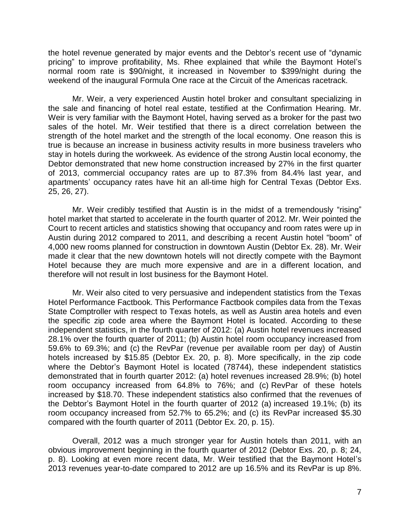the hotel revenue generated by major events and the Debtor's recent use of "dynamic pricing" to improve profitability, Ms. Rhee explained that while the Baymont Hotel's normal room rate is \$90/night, it increased in November to \$399/night during the weekend of the inaugural Formula One race at the Circuit of the Americas racetrack.

Mr. Weir, a very experienced Austin hotel broker and consultant specializing in the sale and financing of hotel real estate, testified at the Confirmation Hearing. Mr. Weir is very familiar with the Baymont Hotel, having served as a broker for the past two sales of the hotel. Mr. Weir testified that there is a direct correlation between the strength of the hotel market and the strength of the local economy. One reason this is true is because an increase in business activity results in more business travelers who stay in hotels during the workweek. As evidence of the strong Austin local economy, the Debtor demonstrated that new home construction increased by 27% in the first quarter of 2013, commercial occupancy rates are up to 87.3% from 84.4% last year, and apartments' occupancy rates have hit an all-time high for Central Texas (Debtor Exs. 25, 26, 27).

Mr. Weir credibly testified that Austin is in the midst of a tremendously "rising" hotel market that started to accelerate in the fourth quarter of 2012. Mr. Weir pointed the Court to recent articles and statistics showing that occupancy and room rates were up in Austin during 2012 compared to 2011, and describing a recent Austin hotel "boom" of 4,000 new rooms planned for construction in downtown Austin (Debtor Ex. 28). Mr. Weir made it clear that the new downtown hotels will not directly compete with the Baymont Hotel because they are much more expensive and are in a different location, and therefore will not result in lost business for the Baymont Hotel.

Mr. Weir also cited to very persuasive and independent statistics from the Texas Hotel Performance Factbook. This Performance Factbook compiles data from the Texas State Comptroller with respect to Texas hotels, as well as Austin area hotels and even the specific zip code area where the Baymont Hotel is located. According to these independent statistics, in the fourth quarter of 2012: (a) Austin hotel revenues increased 28.1% over the fourth quarter of 2011; (b) Austin hotel room occupancy increased from 59.6% to 69.3%; and (c) the RevPar (revenue per available room per day) of Austin hotels increased by \$15.85 (Debtor Ex. 20, p. 8). More specifically, in the zip code where the Debtor's Baymont Hotel is located (78744), these independent statistics demonstrated that in fourth quarter 2012: (a) hotel revenues increased 28.9%; (b) hotel room occupancy increased from 64.8% to 76%; and (c) RevPar of these hotels increased by \$18.70. These independent statistics also confirmed that the revenues of the Debtor's Baymont Hotel in the fourth quarter of 2012 (a) increased 19.1%; (b) its room occupancy increased from 52.7% to 65.2%; and (c) its RevPar increased \$5.30 compared with the fourth quarter of 2011 (Debtor Ex. 20, p. 15).

Overall, 2012 was a much stronger year for Austin hotels than 2011, with an obvious improvement beginning in the fourth quarter of 2012 (Debtor Exs. 20, p. 8; 24, p. 8). Looking at even more recent data, Mr. Weir testified that the Baymont Hotel's 2013 revenues year-to-date compared to 2012 are up 16.5% and its RevPar is up 8%.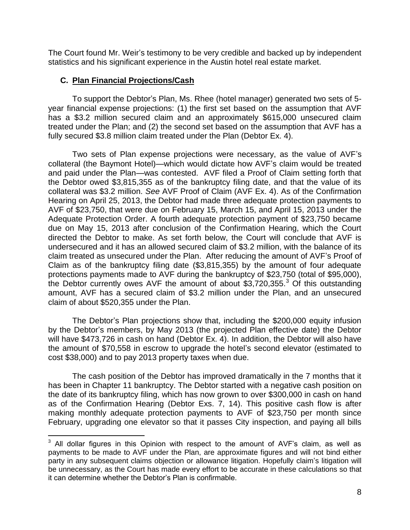The Court found Mr. Weir's testimony to be very credible and backed up by independent statistics and his significant experience in the Austin hotel real estate market.

### **C. Plan Financial Projections/Cash**

 $\overline{a}$ 

To support the Debtor's Plan, Ms. Rhee (hotel manager) generated two sets of 5 year financial expense projections: (1) the first set based on the assumption that AVF has a \$3.2 million secured claim and an approximately \$615,000 unsecured claim treated under the Plan; and (2) the second set based on the assumption that AVF has a fully secured \$3.8 million claim treated under the Plan (Debtor Ex. 4).

Two sets of Plan expense projections were necessary, as the value of AVF's collateral (the Baymont Hotel)—which would dictate how AVF's claim would be treated and paid under the Plan—was contested. AVF filed a Proof of Claim setting forth that the Debtor owed \$3,815,355 as of the bankruptcy filing date, and that the value of its collateral was \$3.2 million. *See* AVF Proof of Claim (AVF Ex. 4). As of the Confirmation Hearing on April 25, 2013, the Debtor had made three adequate protection payments to AVF of \$23,750, that were due on February 15, March 15, and April 15, 2013 under the Adequate Protection Order. A fourth adequate protection payment of \$23,750 became due on May 15, 2013 after conclusion of the Confirmation Hearing, which the Court directed the Debtor to make. As set forth below, the Court will conclude that AVF is undersecured and it has an allowed secured claim of \$3.2 million, with the balance of its claim treated as unsecured under the Plan. After reducing the amount of AVF's Proof of Claim as of the bankruptcy filing date (\$3,815,355) by the amount of four adequate protections payments made to AVF during the bankruptcy of \$23,750 (total of \$95,000), the Debtor currently owes AVF the amount of about  $$3,720,355.^3$  Of this outstanding amount, AVF has a secured claim of \$3.2 million under the Plan, and an unsecured claim of about \$520,355 under the Plan.

The Debtor's Plan projections show that, including the \$200,000 equity infusion by the Debtor's members, by May 2013 (the projected Plan effective date) the Debtor will have \$473,726 in cash on hand (Debtor Ex. 4). In addition, the Debtor will also have the amount of \$70,558 in escrow to upgrade the hotel's second elevator (estimated to cost \$38,000) and to pay 2013 property taxes when due.

The cash position of the Debtor has improved dramatically in the 7 months that it has been in Chapter 11 bankruptcy. The Debtor started with a negative cash position on the date of its bankruptcy filing, which has now grown to over \$300,000 in cash on hand as of the Confirmation Hearing (Debtor Exs. 7, 14). This positive cash flow is after making monthly adequate protection payments to AVF of \$23,750 per month since February, upgrading one elevator so that it passes City inspection, and paying all bills

 $3$  All dollar figures in this Opinion with respect to the amount of AVF's claim, as well as payments to be made to AVF under the Plan, are approximate figures and will not bind either party in any subsequent claims objection or allowance litigation. Hopefully claim's litigation will be unnecessary, as the Court has made every effort to be accurate in these calculations so that it can determine whether the Debtor's Plan is confirmable.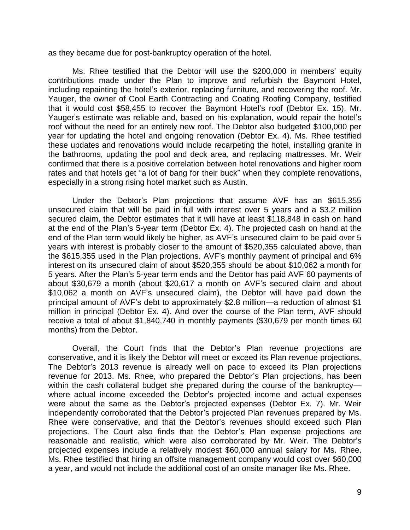as they became due for post-bankruptcy operation of the hotel.

Ms. Rhee testified that the Debtor will use the \$200,000 in members' equity contributions made under the Plan to improve and refurbish the Baymont Hotel, including repainting the hotel's exterior, replacing furniture, and recovering the roof. Mr. Yauger, the owner of Cool Earth Contracting and Coating Roofing Company, testified that it would cost \$58,455 to recover the Baymont Hotel's roof (Debtor Ex. 15). Mr. Yauger's estimate was reliable and, based on his explanation, would repair the hotel's roof without the need for an entirely new roof. The Debtor also budgeted \$100,000 per year for updating the hotel and ongoing renovation (Debtor Ex. 4). Ms. Rhee testified these updates and renovations would include recarpeting the hotel, installing granite in the bathrooms, updating the pool and deck area, and replacing mattresses. Mr. Weir confirmed that there is a positive correlation between hotel renovations and higher room rates and that hotels get "a lot of bang for their buck" when they complete renovations, especially in a strong rising hotel market such as Austin.

Under the Debtor's Plan projections that assume AVF has an \$615,355 unsecured claim that will be paid in full with interest over 5 years and a \$3.2 million secured claim, the Debtor estimates that it will have at least \$118,848 in cash on hand at the end of the Plan's 5-year term (Debtor Ex. 4). The projected cash on hand at the end of the Plan term would likely be higher, as AVF's unsecured claim to be paid over 5 years with interest is probably closer to the amount of \$520,355 calculated above, than the \$615,355 used in the Plan projections. AVF's monthly payment of principal and 6% interest on its unsecured claim of about \$520,355 should be about \$10,062 a month for 5 years. After the Plan's 5-year term ends and the Debtor has paid AVF 60 payments of about \$30,679 a month (about \$20,617 a month on AVF's secured claim and about \$10,062 a month on AVF's unsecured claim), the Debtor will have paid down the principal amount of AVF's debt to approximately \$2.8 million—a reduction of almost \$1 million in principal (Debtor Ex. 4). And over the course of the Plan term, AVF should receive a total of about \$1,840,740 in monthly payments (\$30,679 per month times 60 months) from the Debtor.

Overall, the Court finds that the Debtor's Plan revenue projections are conservative, and it is likely the Debtor will meet or exceed its Plan revenue projections. The Debtor's 2013 revenue is already well on pace to exceed its Plan projections revenue for 2013. Ms. Rhee, who prepared the Debtor's Plan projections, has been within the cash collateral budget she prepared during the course of the bankruptcywhere actual income exceeded the Debtor's projected income and actual expenses were about the same as the Debtor's projected expenses (Debtor Ex. 7). Mr. Weir independently corroborated that the Debtor's projected Plan revenues prepared by Ms. Rhee were conservative, and that the Debtor's revenues should exceed such Plan projections. The Court also finds that the Debtor's Plan expense projections are reasonable and realistic, which were also corroborated by Mr. Weir. The Debtor's projected expenses include a relatively modest \$60,000 annual salary for Ms. Rhee. Ms. Rhee testified that hiring an offsite management company would cost over \$60,000 a year, and would not include the additional cost of an onsite manager like Ms. Rhee.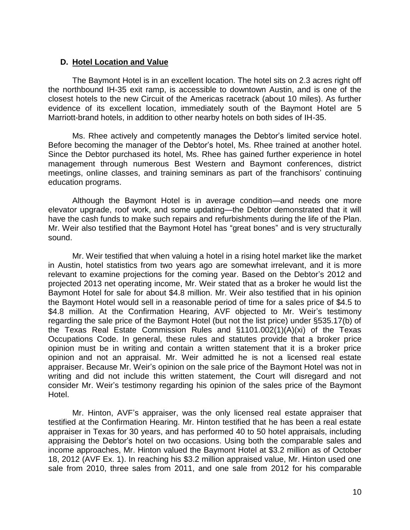### **D. Hotel Location and Value**

The Baymont Hotel is in an excellent location. The hotel sits on 2.3 acres right off the northbound IH-35 exit ramp, is accessible to downtown Austin, and is one of the closest hotels to the new Circuit of the Americas racetrack (about 10 miles). As further evidence of its excellent location, immediately south of the Baymont Hotel are 5 Marriott-brand hotels, in addition to other nearby hotels on both sides of IH-35.

Ms. Rhee actively and competently manages the Debtor's limited service hotel. Before becoming the manager of the Debtor's hotel, Ms. Rhee trained at another hotel. Since the Debtor purchased its hotel, Ms. Rhee has gained further experience in hotel management through numerous Best Western and Baymont conferences, district meetings, online classes, and training seminars as part of the franchisors' continuing education programs.

Although the Baymont Hotel is in average condition—and needs one more elevator upgrade, roof work, and some updating—the Debtor demonstrated that it will have the cash funds to make such repairs and refurbishments during the life of the Plan. Mr. Weir also testified that the Baymont Hotel has "great bones" and is very structurally sound.

Mr. Weir testified that when valuing a hotel in a rising hotel market like the market in Austin, hotel statistics from two years ago are somewhat irrelevant, and it is more relevant to examine projections for the coming year. Based on the Debtor's 2012 and projected 2013 net operating income, Mr. Weir stated that as a broker he would list the Baymont Hotel for sale for about \$4.8 million. Mr. Weir also testified that in his opinion the Baymont Hotel would sell in a reasonable period of time for a sales price of \$4.5 to \$4.8 million. At the Confirmation Hearing, AVF objected to Mr. Weir's testimony regarding the sale price of the Baymont Hotel (but not the list price) under §535.17(b) of the Texas Real Estate Commission Rules and §1101.002(1)(A)(xi) of the Texas Occupations Code. In general, these rules and statutes provide that a broker price opinion must be in writing and contain a written statement that it is a broker price opinion and not an appraisal. Mr. Weir admitted he is not a licensed real estate appraiser. Because Mr. Weir's opinion on the sale price of the Baymont Hotel was not in writing and did not include this written statement, the Court will disregard and not consider Mr. Weir's testimony regarding his opinion of the sales price of the Baymont Hotel.

Mr. Hinton, AVF's appraiser, was the only licensed real estate appraiser that testified at the Confirmation Hearing. Mr. Hinton testified that he has been a real estate appraiser in Texas for 30 years, and has performed 40 to 50 hotel appraisals, including appraising the Debtor's hotel on two occasions. Using both the comparable sales and income approaches, Mr. Hinton valued the Baymont Hotel at \$3.2 million as of October 18, 2012 (AVF Ex. 1). In reaching his \$3.2 million appraised value, Mr. Hinton used one sale from 2010, three sales from 2011, and one sale from 2012 for his comparable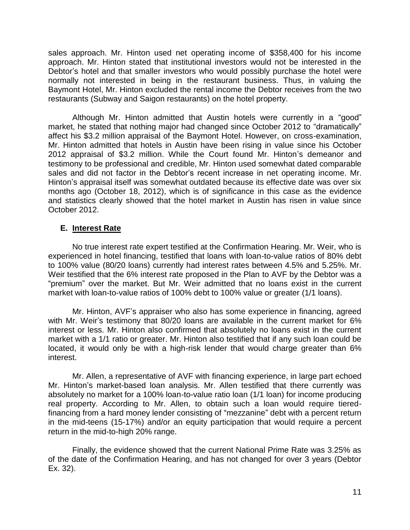sales approach. Mr. Hinton used net operating income of \$358,400 for his income approach. Mr. Hinton stated that institutional investors would not be interested in the Debtor's hotel and that smaller investors who would possibly purchase the hotel were normally not interested in being in the restaurant business. Thus, in valuing the Baymont Hotel, Mr. Hinton excluded the rental income the Debtor receives from the two restaurants (Subway and Saigon restaurants) on the hotel property.

Although Mr. Hinton admitted that Austin hotels were currently in a "good" market, he stated that nothing major had changed since October 2012 to "dramatically" affect his \$3.2 million appraisal of the Baymont Hotel. However, on cross-examination, Mr. Hinton admitted that hotels in Austin have been rising in value since his October 2012 appraisal of \$3.2 million. While the Court found Mr. Hinton's demeanor and testimony to be professional and credible, Mr. Hinton used somewhat dated comparable sales and did not factor in the Debtor's recent increase in net operating income. Mr. Hinton's appraisal itself was somewhat outdated because its effective date was over six months ago (October 18, 2012), which is of significance in this case as the evidence and statistics clearly showed that the hotel market in Austin has risen in value since October 2012.

## **E. Interest Rate**

No true interest rate expert testified at the Confirmation Hearing. Mr. Weir, who is experienced in hotel financing, testified that loans with loan-to-value ratios of 80% debt to 100% value (80/20 loans) currently had interest rates between 4.5% and 5.25%. Mr. Weir testified that the 6% interest rate proposed in the Plan to AVF by the Debtor was a "premium" over the market. But Mr. Weir admitted that no loans exist in the current market with loan-to-value ratios of 100% debt to 100% value or greater (1/1 loans).

Mr. Hinton, AVF's appraiser who also has some experience in financing, agreed with Mr. Weir's testimony that 80/20 loans are available in the current market for 6% interest or less. Mr. Hinton also confirmed that absolutely no loans exist in the current market with a 1/1 ratio or greater. Mr. Hinton also testified that if any such loan could be located, it would only be with a high-risk lender that would charge greater than 6% interest.

Mr. Allen, a representative of AVF with financing experience, in large part echoed Mr. Hinton's market-based loan analysis. Mr. Allen testified that there currently was absolutely no market for a 100% loan-to-value ratio loan (1/1 loan) for income producing real property. According to Mr. Allen, to obtain such a loan would require tieredfinancing from a hard money lender consisting of "mezzanine" debt with a percent return in the mid-teens (15-17%) and/or an equity participation that would require a percent return in the mid-to-high 20% range.

Finally, the evidence showed that the current National Prime Rate was 3.25% as of the date of the Confirmation Hearing, and has not changed for over 3 years (Debtor Ex. 32).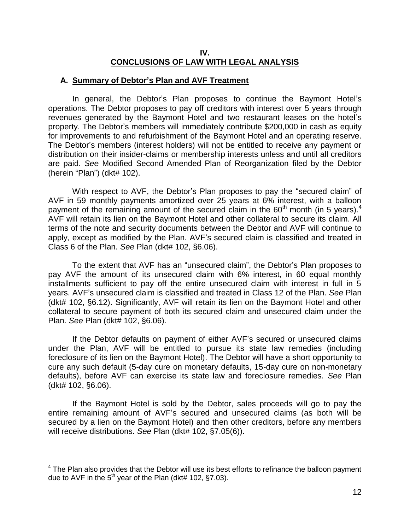### **IV. CONCLUSIONS OF LAW WITH LEGAL ANALYSIS**

#### **A. Summary of Debtor's Plan and AVF Treatment**

In general, the Debtor's Plan proposes to continue the Baymont Hotel's operations. The Debtor proposes to pay off creditors with interest over 5 years through revenues generated by the Baymont Hotel and two restaurant leases on the hotel's property. The Debtor's members will immediately contribute \$200,000 in cash as equity for improvements to and refurbishment of the Baymont Hotel and an operating reserve. The Debtor's members (interest holders) will not be entitled to receive any payment or distribution on their insider-claims or membership interests unless and until all creditors are paid. *See* Modified Second Amended Plan of Reorganization filed by the Debtor (herein "Plan") (dkt# 102).

With respect to AVF, the Debtor's Plan proposes to pay the "secured claim" of AVF in 59 monthly payments amortized over 25 years at 6% interest, with a balloon payment of the remaining amount of the secured claim in the  $60<sup>th</sup>$  month (in 5 years).<sup>4</sup> AVF will retain its lien on the Baymont Hotel and other collateral to secure its claim. All terms of the note and security documents between the Debtor and AVF will continue to apply, except as modified by the Plan. AVF's secured claim is classified and treated in Class 6 of the Plan. *See* Plan (dkt# 102, §6.06).

To the extent that AVF has an "unsecured claim", the Debtor's Plan proposes to pay AVF the amount of its unsecured claim with 6% interest, in 60 equal monthly installments sufficient to pay off the entire unsecured claim with interest in full in 5 years. AVF's unsecured claim is classified and treated in Class 12 of the Plan. *See* Plan (dkt# 102, §6.12). Significantly, AVF will retain its lien on the Baymont Hotel and other collateral to secure payment of both its secured claim and unsecured claim under the Plan. *See* Plan (dkt# 102, §6.06).

If the Debtor defaults on payment of either AVF's secured or unsecured claims under the Plan, AVF will be entitled to pursue its state law remedies (including foreclosure of its lien on the Baymont Hotel). The Debtor will have a short opportunity to cure any such default (5-day cure on monetary defaults, 15-day cure on non-monetary defaults), before AVF can exercise its state law and foreclosure remedies. *See* Plan (dkt# 102, §6.06).

If the Baymont Hotel is sold by the Debtor, sales proceeds will go to pay the entire remaining amount of AVF's secured and unsecured claims (as both will be secured by a lien on the Baymont Hotel) and then other creditors, before any members will receive distributions. *See* Plan (dkt# 102, §7.05(6)).

 $\overline{a}$ 

 $4$  The Plan also provides that the Debtor will use its best efforts to refinance the balloon payment due to AVF in the  $5<sup>th</sup>$  year of the Plan (dkt# 102, §7.03).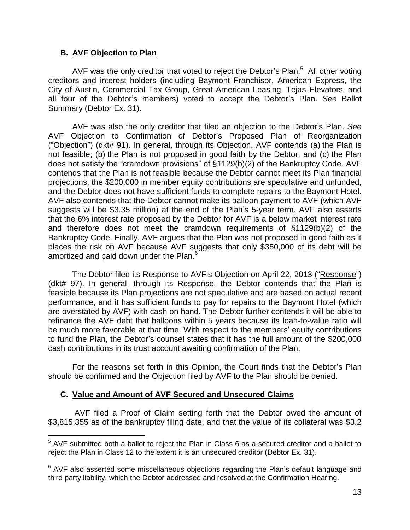### **B. AVF Objection to Plan**

 $\overline{a}$ 

AVF was the only creditor that voted to reject the Debtor's Plan. $<sup>5</sup>$  All other voting</sup> creditors and interest holders (including Baymont Franchisor, American Express, the City of Austin, Commercial Tax Group, Great American Leasing, Tejas Elevators, and all four of the Debtor's members) voted to accept the Debtor's Plan. *See* Ballot Summary (Debtor Ex. 31).

AVF was also the only creditor that filed an objection to the Debtor's Plan. *See* AVF Objection to Confirmation of Debtor's Proposed Plan of Reorganization ("Objection") (dkt# 91). In general, through its Objection, AVF contends (a) the Plan is not feasible; (b) the Plan is not proposed in good faith by the Debtor; and (c) the Plan does not satisfy the "cramdown provisions" of §1129(b)(2) of the Bankruptcy Code. AVF contends that the Plan is not feasible because the Debtor cannot meet its Plan financial projections, the \$200,000 in member equity contributions are speculative and unfunded, and the Debtor does not have sufficient funds to complete repairs to the Baymont Hotel. AVF also contends that the Debtor cannot make its balloon payment to AVF (which AVF suggests will be \$3.35 million) at the end of the Plan's 5-year term. AVF also asserts that the 6% interest rate proposed by the Debtor for AVF is a below market interest rate and therefore does not meet the cramdown requirements of §1129(b)(2) of the Bankruptcy Code. Finally, AVF argues that the Plan was not proposed in good faith as it places the risk on AVF because AVF suggests that only \$350,000 of its debt will be amortized and paid down under the Plan.<sup>6</sup>

The Debtor filed its Response to AVF's Objection on April 22, 2013 ("Response") (dkt# 97). In general, through its Response, the Debtor contends that the Plan is feasible because its Plan projections are not speculative and are based on actual recent performance, and it has sufficient funds to pay for repairs to the Baymont Hotel (which are overstated by AVF) with cash on hand. The Debtor further contends it will be able to refinance the AVF debt that balloons within 5 years because its loan-to-value ratio will be much more favorable at that time. With respect to the members' equity contributions to fund the Plan, the Debtor's counsel states that it has the full amount of the \$200,000 cash contributions in its trust account awaiting confirmation of the Plan.

For the reasons set forth in this Opinion, the Court finds that the Debtor's Plan should be confirmed and the Objection filed by AVF to the Plan should be denied.

## **C. Value and Amount of AVF Secured and Unsecured Claims**

AVF filed a Proof of Claim setting forth that the Debtor owed the amount of \$3,815,355 as of the bankruptcy filing date, and that the value of its collateral was \$3.2

<sup>&</sup>lt;sup>5</sup> AVF submitted both a ballot to reject the Plan in Class 6 as a secured creditor and a ballot to reject the Plan in Class 12 to the extent it is an unsecured creditor (Debtor Ex. 31).

 $6$  AVF also asserted some miscellaneous objections regarding the Plan's default language and third party liability, which the Debtor addressed and resolved at the Confirmation Hearing.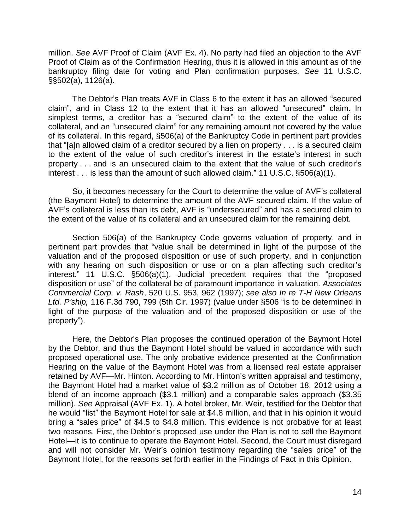million. *See* AVF Proof of Claim (AVF Ex. 4). No party had filed an objection to the AVF Proof of Claim as of the Confirmation Hearing, thus it is allowed in this amount as of the bankruptcy filing date for voting and Plan confirmation purposes. *See* 11 U.S.C. §§502(a), 1126(a).

The Debtor's Plan treats AVF in Class 6 to the extent it has an allowed "secured claim", and in Class 12 to the extent that it has an allowed "unsecured" claim. In simplest terms, a creditor has a "secured claim" to the extent of the value of its collateral, and an "unsecured claim" for any remaining amount not covered by the value of its collateral. In this regard, §506(a) of the Bankruptcy Code in pertinent part provides that "[a]n allowed claim of a creditor secured by a lien on property . . . is a secured claim to the extent of the value of such creditor's interest in the estate's interest in such property . . . and is an unsecured claim to the extent that the value of such creditor's interest . . . is less than the amount of such allowed claim." 11 U.S.C. §506(a)(1).

So, it becomes necessary for the Court to determine the value of AVF's collateral (the Baymont Hotel) to determine the amount of the AVF secured claim. If the value of AVF's collateral is less than its debt, AVF is "undersecured" and has a secured claim to the extent of the value of its collateral and an unsecured claim for the remaining debt.

Section 506(a) of the Bankruptcy Code governs valuation of property, and in pertinent part provides that "value shall be determined in light of the purpose of the valuation and of the proposed disposition or use of such property, and in conjunction with any hearing on such disposition or use or on a plan affecting such creditor's interest." 11 U.S.C. §506(a)(1). Judicial precedent requires that the "proposed disposition or use" of the collateral be of paramount importance in valuation. *Associates Commercial Corp. v. Rash*, 520 U.S. 953, 962 (1997); *see also In re T-H New Orleans Ltd. P'ship,* 116 F.3d 790, 799 (5th Cir. 1997) (value under §506 "is to be determined in light of the purpose of the valuation and of the proposed disposition or use of the property").

Here, the Debtor's Plan proposes the continued operation of the Baymont Hotel by the Debtor, and thus the Baymont Hotel should be valued in accordance with such proposed operational use. The only probative evidence presented at the Confirmation Hearing on the value of the Baymont Hotel was from a licensed real estate appraiser retained by AVF—Mr. Hinton. According to Mr. Hinton's written appraisal and testimony, the Baymont Hotel had a market value of \$3.2 million as of October 18, 2012 using a blend of an income approach (\$3.1 million) and a comparable sales approach (\$3.35 million). *See* Appraisal (AVF Ex. 1). A hotel broker, Mr. Weir, testified for the Debtor that he would "list" the Baymont Hotel for sale at \$4.8 million, and that in his opinion it would bring a "sales price" of \$4.5 to \$4.8 million. This evidence is not probative for at least two reasons. First, the Debtor's proposed use under the Plan is not to sell the Baymont Hotel—it is to continue to operate the Baymont Hotel. Second, the Court must disregard and will not consider Mr. Weir's opinion testimony regarding the "sales price" of the Baymont Hotel, for the reasons set forth earlier in the Findings of Fact in this Opinion.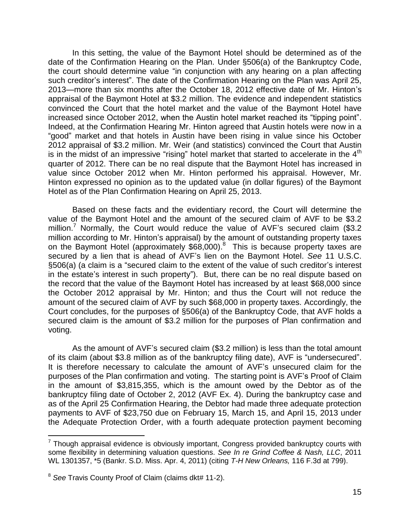In this setting, the value of the Baymont Hotel should be determined as of the date of the Confirmation Hearing on the Plan. Under §506(a) of the Bankruptcy Code, the court should determine value "in conjunction with any hearing on a plan affecting such creditor's interest". The date of the Confirmation Hearing on the Plan was April 25, 2013—more than six months after the October 18, 2012 effective date of Mr. Hinton's appraisal of the Baymont Hotel at \$3.2 million. The evidence and independent statistics convinced the Court that the hotel market and the value of the Baymont Hotel have increased since October 2012, when the Austin hotel market reached its "tipping point". Indeed, at the Confirmation Hearing Mr. Hinton agreed that Austin hotels were now in a "good" market and that hotels in Austin have been rising in value since his October 2012 appraisal of \$3.2 million. Mr. Weir (and statistics) convinced the Court that Austin is in the midst of an impressive "rising" hotel market that started to accelerate in the  $4<sup>th</sup>$ quarter of 2012. There can be no real dispute that the Baymont Hotel has increased in value since October 2012 when Mr. Hinton performed his appraisal. However, Mr. Hinton expressed no opinion as to the updated value (in dollar figures) of the Baymont Hotel as of the Plan Confirmation Hearing on April 25, 2013.

Based on these facts and the evidentiary record, the Court will determine the value of the Baymont Hotel and the amount of the secured claim of AVF to be \$3.2 million.<sup>7</sup> Normally, the Court would reduce the value of AVF's secured claim (\$3.2 million according to Mr. Hinton's appraisal) by the amount of outstanding property taxes on the Baymont Hotel (approximately \$68,000).<sup>8</sup> This is because property taxes are secured by a lien that is ahead of AVF's lien on the Baymont Hotel. *See* 11 U.S.C. §506(a) (a claim is a "secured claim to the extent of the value of such creditor's interest in the estate's interest in such property"). But, there can be no real dispute based on the record that the value of the Baymont Hotel has increased by at least \$68,000 since the October 2012 appraisal by Mr. Hinton; and thus the Court will not reduce the amount of the secured claim of AVF by such \$68,000 in property taxes. Accordingly, the Court concludes, for the purposes of §506(a) of the Bankruptcy Code, that AVF holds a secured claim is the amount of \$3.2 million for the purposes of Plan confirmation and voting.

As the amount of AVF's secured claim (\$3.2 million) is less than the total amount of its claim (about \$3.8 million as of the bankruptcy filing date), AVF is "undersecured". It is therefore necessary to calculate the amount of AVF's unsecured claim for the purposes of the Plan confirmation and voting. The starting point is AVF's Proof of Claim in the amount of \$3,815,355, which is the amount owed by the Debtor as of the bankruptcy filing date of October 2, 2012 (AVF Ex. 4). During the bankruptcy case and as of the April 25 Confirmation Hearing, the Debtor had made three adequate protection payments to AVF of \$23,750 due on February 15, March 15, and April 15, 2013 under the Adequate Protection Order, with a fourth adequate protection payment becoming

 $\overline{a}$ 

 $7$  Though appraisal evidence is obviously important, Congress provided bankruptcy courts with some flexibility in determining valuation questions. *See In re Grind Coffee & Nash, LLC*, 2011 WL 1301357, \*5 (Bankr. S.D. Miss. Apr. 4, 2011) (citing *T-H New Orleans,* 116 F.3d at 799).

<sup>8</sup> *See* Travis County Proof of Claim (claims dkt# 11-2).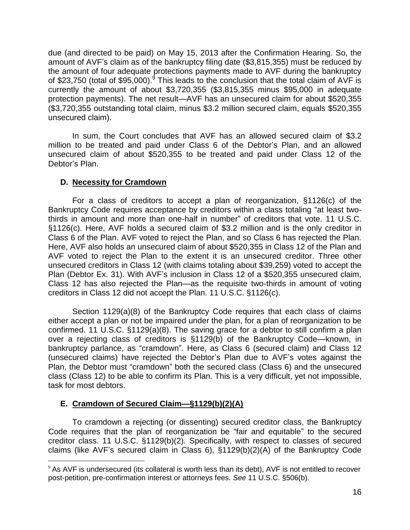due (and directed to be paid) on May 15, 2013 after the Confirmation Hearing. So, the amount of AVF's claim as of the bankruptcy filing date (\$3,815,355) must be reduced by the amount of four adequate protections payments made to AVF during the bankruptcy of \$23,750 (total of \$95,000).<sup>9</sup> This leads to the conclusion that the total claim of AVF is currently the amount of about \$3,720,355 (\$3,815,355 minus \$95,000 in adequate protection payments). The net result—AVF has an unsecured claim for about \$520,355 (\$3,720,355 outstanding total claim, minus \$3.2 million secured claim, equals \$520,355 unsecured claim).

In sum, the Court concludes that AVF has an allowed secured claim of \$3.2 million to be treated and paid under Class 6 of the Debtor's Plan, and an allowed unsecured claim of about \$520,355 to be treated and paid under Class 12 of the Debtor's Plan.

### **D. Necessity for Cramdown**

For a class of creditors to accept a plan of reorganization, §1126(c) of the Bankruptcy Code requires acceptance by creditors within a class totaling "at least twothirds in amount and more than one-half in number" of creditors that vote. 11 U.S.C. §1126(c). Here, AVF holds a secured claim of \$3.2 million and is the only creditor in Class 6 of the Plan. AVF voted to reject the Plan, and so Class 6 has rejected the Plan. Here, AVF also holds an unsecured claim of about \$520,355 in Class 12 of the Plan and AVF voted to reject the Plan to the extent it is an unsecured creditor. Three other unsecured creditors in Class 12 (with claims totaling about \$39,259) voted to accept the Plan (Debtor Ex. 31). With AVF's inclusion in Class 12 of a \$520,355 unsecured claim, Class 12 has also rejected the Plan—as the requisite two-thirds in amount of voting creditors in Class 12 did not accept the Plan. 11 U.S.C. §1126(c).

Section 1129(a)(8) of the Bankruptcy Code requires that each class of claims either accept a plan or not be impaired under the plan, for a plan of reorganization to be confirmed. 11 U.S.C. §1129(a)(8). The saving grace for a debtor to still confirm a plan over a rejecting class of creditors is §1129(b) of the Bankruptcy Code—known, in bankruptcy parlance, as "cramdown". Here, as Class 6 (secured claim) and Class 12 (unsecured claims) have rejected the Debtor's Plan due to AVF's votes against the Plan, the Debtor must "cramdown" both the secured class (Class 6) and the unsecured class (Class 12) to be able to confirm its Plan. This is a very difficult, yet not impossible, task for most debtors.

## **E. Cramdown of Secured Claim—§1129(b)(2)(A)**

 $\overline{a}$ 

To cramdown a rejecting (or dissenting) secured creditor class, the Bankruptcy Code requires that the plan of reorganization be "fair and equitable" to the secured creditor class. 11 U.S.C. §1129(b)(2). Specifically, with respect to classes of secured claims (like AVF's secured claim in Class 6), §1129(b)(2)(A) of the Bankruptcy Code

 $9$  As AVF is undersecured (its collateral is worth less than its debt), AVF is not entitled to recover post-petition, pre-confirmation interest or attorneys fees. *See* 11 U.S.C. §506(b).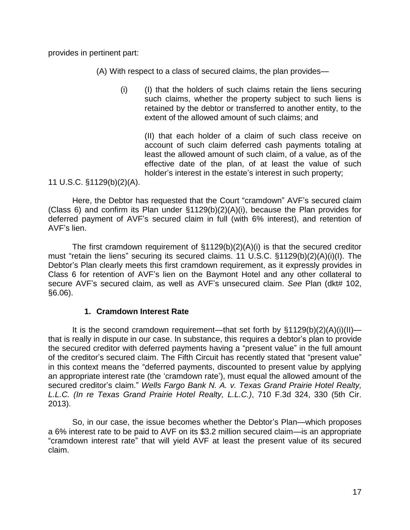provides in pertinent part:

(A) With respect to a class of secured claims, the plan provides—

(i) (I) that the holders of such claims retain the liens securing such claims, whether the property subject to such liens is retained by the debtor or transferred to another entity, to the extent of the allowed amount of such claims; and

(II) that each holder of a claim of such class receive on account of such claim deferred cash payments totaling at least the allowed amount of such claim, of a value, as of the effective date of the plan, of at least the value of such holder's interest in the estate's interest in such property;

11 U.S.C. §1129(b)(2)(A).

Here, the Debtor has requested that the Court "cramdown" AVF's secured claim (Class 6) and confirm its Plan under §1129(b)(2)(A)(i), because the Plan provides for deferred payment of AVF's secured claim in full (with 6% interest), and retention of AVF's lien.

The first cramdown requirement of §1129(b)(2)(A)(i) is that the secured creditor must "retain the liens" securing its secured claims. 11 U.S.C. §1129(b)(2)(A)(i)(I). The Debtor's Plan clearly meets this first cramdown requirement, as it expressly provides in Class 6 for retention of AVF's lien on the Baymont Hotel and any other collateral to secure AVF's secured claim, as well as AVF's unsecured claim. *See* Plan (dkt# 102, §6.06).

### **1. Cramdown Interest Rate**

It is the second cramdown requirement—that set forth by  $\S1129(b)(2)(A)(i)(II)$  that is really in dispute in our case. In substance, this requires a debtor's plan to provide the secured creditor with deferred payments having a "present value" in the full amount of the creditor's secured claim. The Fifth Circuit has recently stated that "present value" in this context means the "deferred payments, discounted to present value by applying an appropriate interest rate (the 'cramdown rate'), must equal the allowed amount of the secured creditor's claim." *Wells Fargo Bank N. A. v. Texas Grand Prairie Hotel Realty, L.L.C. (In re Texas Grand Prairie Hotel Realty, L.L.C.)*, 710 F.3d 324, 330 (5th Cir. 2013).

So, in our case, the issue becomes whether the Debtor's Plan—which proposes a 6% interest rate to be paid to AVF on its \$3.2 million secured claim—is an appropriate "cramdown interest rate" that will yield AVF at least the present value of its secured claim.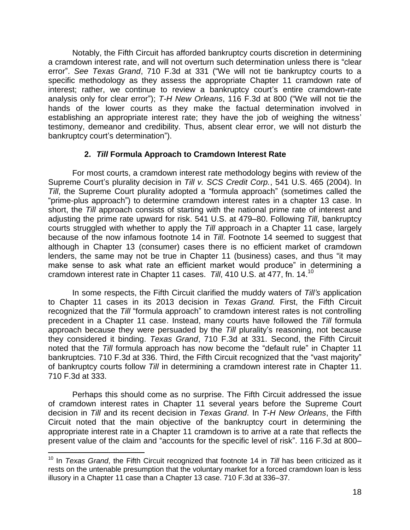Notably, the Fifth Circuit has afforded bankruptcy courts discretion in determining a cramdown interest rate, and will not overturn such determination unless there is "clear error". *See Texas Grand*, 710 F.3d at 331 ("We will not tie bankruptcy courts to a specific methodology as they assess the appropriate Chapter 11 cramdown rate of interest; rather, we continue to review a bankruptcy court's entire cramdown-rate analysis only for clear error"); *T-H New Orleans*, 116 F.3d at 800 ("We will not tie the hands of the lower courts as they make the factual determination involved in establishing an appropriate interest rate; they have the job of weighing the witness' testimony, demeanor and credibility. Thus, absent clear error, we will not disturb the bankruptcy court's determination").

### **2.** *Till* **Formula Approach to Cramdown Interest Rate**

For most courts, a cramdown interest rate methodology begins with review of the Supreme Court's plurality decision in *Till v. SCS Credit Corp.*, 541 U.S. 465 (2004). In *Till*, the Supreme Court plurality adopted a "formula approach" (sometimes called the "prime-plus approach") to determine cramdown interest rates in a chapter 13 case. In short, the *Till* approach consists of starting with the national prime rate of interest and adjusting the prime rate upward for risk. 541 U.S. at 479–80. Following *Till*, bankruptcy courts struggled with whether to apply the *Till* approach in a Chapter 11 case, largely because of the now infamous footnote 14 in *Till*. Footnote 14 seemed to suggest that although in Chapter 13 (consumer) cases there is no efficient market of cramdown lenders, the same may not be true in Chapter 11 (business) cases, and thus "it may make sense to ask what rate an efficient market would produce" in determining a cramdown interest rate in Chapter 11 cases. *Till*, 410 U.S. at 477, fn. 14.<sup>10</sup>

In some respects, the Fifth Circuit clarified the muddy waters of *Till's* application to Chapter 11 cases in its 2013 decision in *Texas Grand.* First, the Fifth Circuit recognized that the *Till* "formula approach" to cramdown interest rates is not controlling precedent in a Chapter 11 case. Instead, many courts have followed the *Till* formula approach because they were persuaded by the *Till* plurality's reasoning, not because they considered it binding. *Texas Grand*, 710 F.3d at 331. Second, the Fifth Circuit noted that the *Till* formula approach has now become the "default rule" in Chapter 11 bankruptcies. 710 F.3d at 336. Third, the Fifth Circuit recognized that the "vast majority" of bankruptcy courts follow *Till* in determining a cramdown interest rate in Chapter 11. 710 F.3d at 333.

Perhaps this should come as no surprise. The Fifth Circuit addressed the issue of cramdown interest rates in Chapter 11 several years before the Supreme Court decision in *Till* and its recent decision in *Texas Grand*. In *T-H New Orleans*, the Fifth Circuit noted that the main objective of the bankruptcy court in determining the appropriate interest rate in a Chapter 11 cramdown is to arrive at a rate that reflects the present value of the claim and "accounts for the specific level of risk". 116 F.3d at 800–

 $\overline{a}$ 

<sup>&</sup>lt;sup>10</sup> In *Texas Grand*, the Fifth Circuit recognized that footnote 14 in *Till* has been criticized as it rests on the untenable presumption that the voluntary market for a forced cramdown loan is less illusory in a Chapter 11 case than a Chapter 13 case. 710 F.3d at 336–37.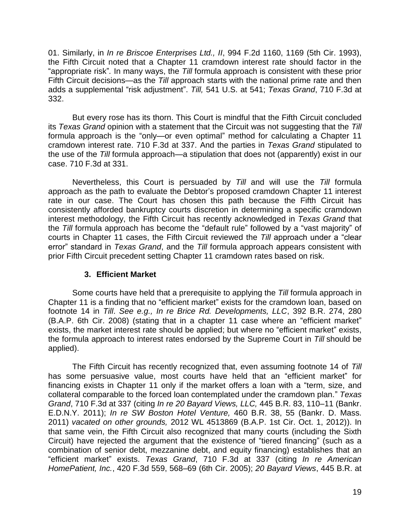01. Similarly, in *In re Briscoe Enterprises Ltd., II*, 994 F.2d 1160, 1169 (5th Cir. 1993), the Fifth Circuit noted that a Chapter 11 cramdown interest rate should factor in the "appropriate risk"*.* In many ways, the *Till* formula approach is consistent with these prior Fifth Circuit decisions—as the *Till* approach starts with the national prime rate and then adds a supplemental "risk adjustment". *Till,* 541 U.S. at 541; *Texas Grand*, 710 F.3d at 332.

But every rose has its thorn. This Court is mindful that the Fifth Circuit concluded its *Texas Grand* opinion with a statement that the Circuit was not suggesting that the *Till*  formula approach is the "only—or even optimal" method for calculating a Chapter 11 cramdown interest rate. 710 F.3d at 337. And the parties in *Texas Grand* stipulated to the use of the *Till* formula approach—a stipulation that does not (apparently) exist in our case. 710 F.3d at 331.

Nevertheless, this Court is persuaded by *Till* and will use the *Till* formula approach as the path to evaluate the Debtor's proposed cramdown Chapter 11 interest rate in our case. The Court has chosen this path because the Fifth Circuit has consistently afforded bankruptcy courts discretion in determining a specific cramdown interest methodology, the Fifth Circuit has recently acknowledged in *Texas Grand* that the *Till* formula approach has become the "default rule" followed by a "vast majority" of courts in Chapter 11 cases, the Fifth Circuit reviewed the *Till* approach under a "clear error" standard in *Texas Grand*, and the *Till* formula approach appears consistent with prior Fifth Circuit precedent setting Chapter 11 cramdown rates based on risk.

## **3. Efficient Market**

Some courts have held that a prerequisite to applying the *Till* formula approach in Chapter 11 is a finding that no "efficient market" exists for the cramdown loan, based on footnote 14 in *Till*. *See e.g., In re Brice Rd. Developments, LLC*, 392 B.R. 274, 280 (B.A.P. 6th Cir. 2008) (stating that in a chapter 11 case where an "efficient market" exists, the market interest rate should be applied; but where no "efficient market" exists, the formula approach to interest rates endorsed by the Supreme Court in *Till* should be applied).

The Fifth Circuit has recently recognized that, even assuming footnote 14 of *Till* has some persuasive value, most courts have held that an "efficient market" for financing exists in Chapter 11 only if the market offers a loan with a "term, size, and collateral comparable to the forced loan contemplated under the cramdown plan." *Texas Grand*, 710 F.3d at 337 (citing *In re 20 Bayard Views, LLC,* 445 B.R. 83, 110–11 (Bankr. E.D.N.Y. 2011); *In re SW Boston Hotel Venture,* 460 B.R. 38, 55 (Bankr. D. Mass. 2011) *vacated on other grounds,* 2012 WL 4513869 (B.A.P. 1st Cir. Oct. 1, 2012)). In that same vein, the Fifth Circuit also recognized that many courts (including the Sixth Circuit) have rejected the argument that the existence of "tiered financing" (such as a combination of senior debt, mezzanine debt, and equity financing) establishes that an "efficient market" exists. *Texas Grand*, 710 F.3d at 337 (citing *In re American HomePatient, Inc.*, 420 F.3d 559, 568–69 (6th Cir. 2005); *20 Bayard Views*, 445 B.R. at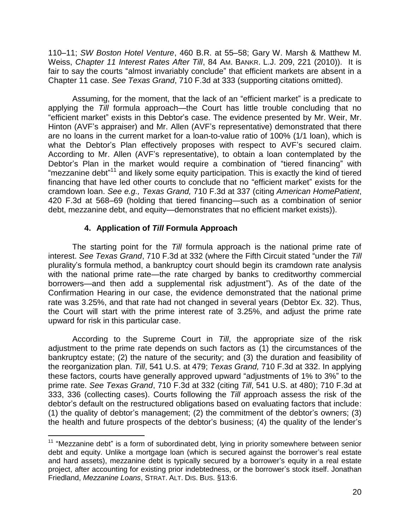110–11; *SW Boston Hotel Venture*, 460 B.R. at 55–58; Gary W. Marsh & Matthew M. Weiss, *Chapter 11 Interest Rates After Till*, 84 AM. BANKR. L.J. 209, 221 (2010)). It is fair to say the courts "almost invariably conclude" that efficient markets are absent in a Chapter 11 case. *See Texas Grand*, 710 F.3d at 333 (supporting citations omitted).

Assuming, for the moment, that the lack of an "efficient market" is a predicate to applying the *Till* formula approach—the Court has little trouble concluding that no "efficient market" exists in this Debtor's case. The evidence presented by Mr. Weir, Mr. Hinton (AVF's appraiser) and Mr. Allen (AVF's representative) demonstrated that there are no loans in the current market for a loan-to-value ratio of 100% (1/1 loan), which is what the Debtor's Plan effectively proposes with respect to AVF's secured claim. According to Mr. Allen (AVF's representative), to obtain a loan contemplated by the Debtor's Plan in the market would require a combination of "tiered financing" with "mezzanine debt"<sup>11</sup> and likely some equity participation. This is exactly the kind of tiered financing that have led other courts to conclude that no "efficient market" exists for the cramdown loan. *See e.g., Texas Grand,* 710 F.3d at 337 (citing *American HomePatient*, 420 F.3d at 568–69 (holding that tiered financing—such as a combination of senior debt, mezzanine debt, and equity—demonstrates that no efficient market exists)).

### **4. Application of** *Till* **Formula Approach**

 $\overline{a}$ 

The starting point for the *Till* formula approach is the national prime rate of interest. *See Texas Grand*, 710 F.3d at 332 (where the Fifth Circuit stated "under the *Till* plurality's formula method, a bankruptcy court should begin its cramdown rate analysis with the national prime rate—the rate charged by banks to creditworthy commercial borrowers—and then add a supplemental risk adjustment"). As of the date of the Confirmation Hearing in our case, the evidence demonstrated that the national prime rate was 3.25%, and that rate had not changed in several years (Debtor Ex. 32). Thus, the Court will start with the prime interest rate of 3.25%, and adjust the prime rate upward for risk in this particular case.

According to the Supreme Court in *Till*, the appropriate size of the risk adjustment to the prime rate depends on such factors as (1) the circumstances of the bankruptcy estate; (2) the nature of the security; and (3) the duration and feasibility of the reorganization plan. *Till*, 541 U.S. at 479; *Texas Grand,* 710 F.3d at 332. In applying these factors, courts have generally approved upward "adjustments of 1% to 3%" to the prime rate. *See Texas Grand*, 710 F.3d at 332 (citing *Till*, 541 U.S. at 480); 710 F.3d at 333, 336 (collecting cases). Courts following the *Till a*pproach assess the risk of the debtor's default on the restructured obligations based on evaluating factors that include: (1) the quality of debtor's management; (2) the commitment of the debtor's owners; (3) the health and future prospects of the debtor's business; (4) the quality of the lender's

<sup>&</sup>lt;sup>11</sup> "Mezzanine debt" is a form of subordinated debt, lying in priority somewhere between senior debt and equity. Unlike a mortgage loan (which is secured against the borrower's real estate and hard assets), mezzanine debt is typically secured by a borrower's equity in a real estate project, after accounting for existing prior indebtedness, or the borrower's stock itself. Jonathan Friedland, *Mezzanine Loans*, STRAT. ALT. DIS. BUS. §13:6.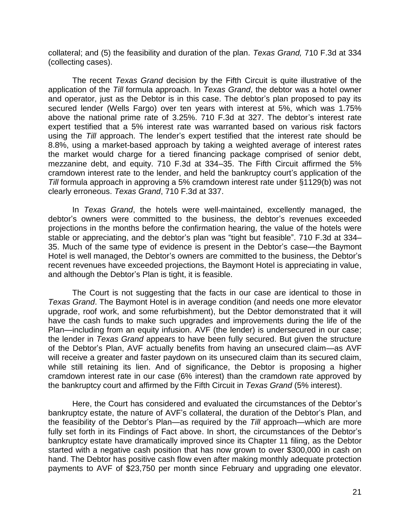collateral; and (5) the feasibility and duration of the plan. *Texas Grand,* 710 F.3d at 334 (collecting cases).

The recent *Texas Grand* decision by the Fifth Circuit is quite illustrative of the application of the *Till* formula approach. In *Texas Grand*, the debtor was a hotel owner and operator, just as the Debtor is in this case. The debtor's plan proposed to pay its secured lender (Wells Fargo) over ten years with interest at 5%, which was 1.75% above the national prime rate of 3.25%. 710 F.3d at 327. The debtor's interest rate expert testified that a 5% interest rate was warranted based on various risk factors using the *Till* approach. The lender's expert testified that the interest rate should be 8.8%, using a market-based approach by taking a weighted average of interest rates the market would charge for a tiered financing package comprised of senior debt, mezzanine debt, and equity. 710 F.3d at 334–35. The Fifth Circuit affirmed the 5% cramdown interest rate to the lender, and held the bankruptcy court's application of the *Till* formula approach in approving a 5% cramdown interest rate under §1129(b) was not clearly erroneous. *Texas Grand*, 710 F.3d at 337.

In *Texas Grand*, the hotels were well-maintained, excellently managed, the debtor's owners were committed to the business, the debtor's revenues exceeded projections in the months before the confirmation hearing, the value of the hotels were stable or appreciating, and the debtor's plan was "tight but feasible". 710 F.3d at 334– 35. Much of the same type of evidence is present in the Debtor's case—the Baymont Hotel is well managed, the Debtor's owners are committed to the business, the Debtor's recent revenues have exceeded projections, the Baymont Hotel is appreciating in value, and although the Debtor's Plan is tight, it is feasible.

The Court is not suggesting that the facts in our case are identical to those in *Texas Grand*. The Baymont Hotel is in average condition (and needs one more elevator upgrade, roof work, and some refurbishment), but the Debtor demonstrated that it will have the cash funds to make such upgrades and improvements during the life of the Plan—including from an equity infusion. AVF (the lender) is undersecured in our case; the lender in *Texas Grand* appears to have been fully secured. But given the structure of the Debtor's Plan, AVF actually benefits from having an unsecured claim—as AVF will receive a greater and faster paydown on its unsecured claim than its secured claim, while still retaining its lien. And of significance, the Debtor is proposing a higher cramdown interest rate in our case (6% interest) than the cramdown rate approved by the bankruptcy court and affirmed by the Fifth Circuit in *Texas Grand* (5% interest).

Here, the Court has considered and evaluated the circumstances of the Debtor's bankruptcy estate, the nature of AVF's collateral, the duration of the Debtor's Plan, and the feasibility of the Debtor's Plan—as required by the *Till* approach—which are more fully set forth in its Findings of Fact above. In short, the circumstances of the Debtor's bankruptcy estate have dramatically improved since its Chapter 11 filing, as the Debtor started with a negative cash position that has now grown to over \$300,000 in cash on hand. The Debtor has positive cash flow even after making monthly adequate protection payments to AVF of \$23,750 per month since February and upgrading one elevator.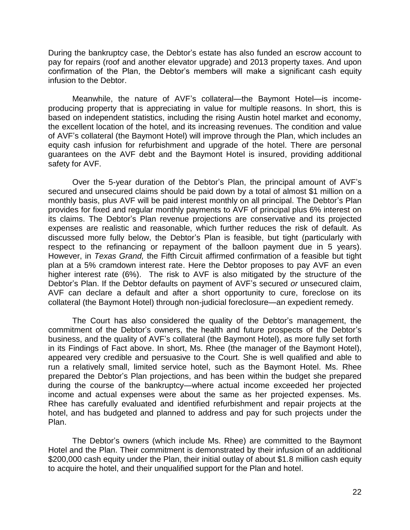During the bankruptcy case, the Debtor's estate has also funded an escrow account to pay for repairs (roof and another elevator upgrade) and 2013 property taxes. And upon confirmation of the Plan, the Debtor's members will make a significant cash equity infusion to the Debtor.

Meanwhile, the nature of AVF's collateral—the Baymont Hotel—is incomeproducing property that is appreciating in value for multiple reasons. In short, this is based on independent statistics, including the rising Austin hotel market and economy, the excellent location of the hotel, and its increasing revenues. The condition and value of AVF's collateral (the Baymont Hotel) will improve through the Plan, which includes an equity cash infusion for refurbishment and upgrade of the hotel. There are personal guarantees on the AVF debt and the Baymont Hotel is insured, providing additional safety for AVF.

Over the 5-year duration of the Debtor's Plan, the principal amount of AVF's secured and unsecured claims should be paid down by a total of almost \$1 million on a monthly basis, plus AVF will be paid interest monthly on all principal. The Debtor's Plan provides for fixed and regular monthly payments to AVF of principal plus 6% interest on its claims. The Debtor's Plan revenue projections are conservative and its projected expenses are realistic and reasonable, which further reduces the risk of default. As discussed more fully below, the Debtor's Plan is feasible, but tight (particularly with respect to the refinancing or repayment of the balloon payment due in 5 years). However, in *Texas Grand,* the Fifth Circuit affirmed confirmation of a feasible but tight plan at a 5% cramdown interest rate. Here the Debtor proposes to pay AVF an even higher interest rate (6%). The risk to AVF is also mitigated by the structure of the Debtor's Plan. If the Debtor defaults on payment of AVF's secured *or* unsecured claim, AVF can declare a default and after a short opportunity to cure, foreclose on its collateral (the Baymont Hotel) through non-judicial foreclosure—an expedient remedy.

The Court has also considered the quality of the Debtor's management, the commitment of the Debtor's owners, the health and future prospects of the Debtor's business, and the quality of AVF's collateral (the Baymont Hotel), as more fully set forth in its Findings of Fact above. In short, Ms. Rhee (the manager of the Baymont Hotel), appeared very credible and persuasive to the Court. She is well qualified and able to run a relatively small, limited service hotel, such as the Baymont Hotel. Ms. Rhee prepared the Debtor's Plan projections, and has been within the budget she prepared during the course of the bankruptcy—where actual income exceeded her projected income and actual expenses were about the same as her projected expenses. Ms. Rhee has carefully evaluated and identified refurbishment and repair projects at the hotel, and has budgeted and planned to address and pay for such projects under the Plan.

The Debtor's owners (which include Ms. Rhee) are committed to the Baymont Hotel and the Plan. Their commitment is demonstrated by their infusion of an additional \$200,000 cash equity under the Plan, their initial outlay of about \$1.8 million cash equity to acquire the hotel, and their unqualified support for the Plan and hotel.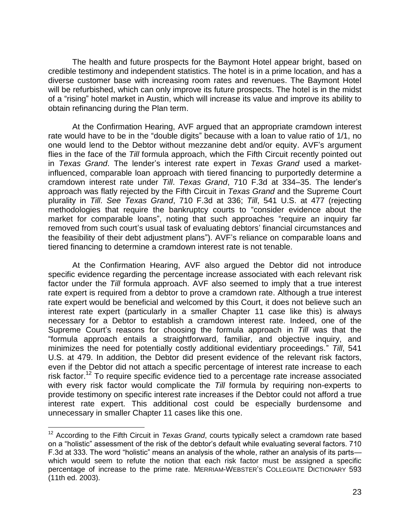The health and future prospects for the Baymont Hotel appear bright, based on credible testimony and independent statistics. The hotel is in a prime location, and has a diverse customer base with increasing room rates and revenues. The Baymont Hotel will be refurbished, which can only improve its future prospects. The hotel is in the midst of a "rising" hotel market in Austin, which will increase its value and improve its ability to obtain refinancing during the Plan term.

At the Confirmation Hearing, AVF argued that an appropriate cramdown interest rate would have to be in the "double digits" because with a loan to value ratio of 1/1, no one would lend to the Debtor without mezzanine debt and/or equity. AVF's argument flies in the face of the *Till* formula approach, which the Fifth Circuit recently pointed out in *Texas Grand*. The lender's interest rate expert in *Texas Grand* used a marketinfluenced, comparable loan approach with tiered financing to purportedly determine a cramdown interest rate under *Till*. *Texas Grand*, 710 F.3d at 334–35. The lender's approach was flatly rejected by the Fifth Circuit in *Texas Grand* and the Supreme Court plurality in *Till*. *See Texas Grand*, 710 F.3d at 336; *Till*, 541 U.S. at 477 (rejecting methodologies that require the bankruptcy courts to "consider evidence about the market for comparable loans", noting that such approaches "require an inquiry far removed from such court's usual task of evaluating debtors' financial circumstances and the feasibility of their debt adjustment plans"). AVF's reliance on comparable loans and tiered financing to determine a cramdown interest rate is not tenable.

At the Confirmation Hearing, AVF also argued the Debtor did not introduce specific evidence regarding the percentage increase associated with each relevant risk factor under the *Till* formula approach. AVF also seemed to imply that a true interest rate expert is required from a debtor to prove a cramdown rate. Although a true interest rate expert would be beneficial and welcomed by this Court, it does not believe such an interest rate expert (particularly in a smaller Chapter 11 case like this) is always necessary for a Debtor to establish a cramdown interest rate. Indeed, one of the Supreme Court's reasons for choosing the formula approach in *Till* was that the "formula approach entails a straightforward, familiar, and objective inquiry, and minimizes the need for potentially costly additional evidentiary proceedings." *Till*, 541 U.S. at 479. In addition, the Debtor did present evidence of the relevant risk factors, even if the Debtor did not attach a specific percentage of interest rate increase to each risk factor.<sup>12</sup> To require specific evidence tied to a percentage rate increase associated with every risk factor would complicate the *Till* formula by requiring non-experts to provide testimony on specific interest rate increases if the Debtor could not afford a true interest rate expert. This additional cost could be especially burdensome and unnecessary in smaller Chapter 11 cases like this one.

 $\overline{a}$ 

<sup>&</sup>lt;sup>12</sup> According to the Fifth Circuit in *Texas Grand*, courts typically select a cramdown rate based on a "holistic" assessment of the risk of the debtor's default while evaluating several factors. 710 F.3d at 333. The word "holistic" means an analysis of the whole, rather an analysis of its parts which would seem to refute the notion that each risk factor must be assigned a specific percentage of increase to the prime rate. MERRIAM-WEBSTER'S COLLEGIATE DICTIONARY 593 (11th ed. 2003).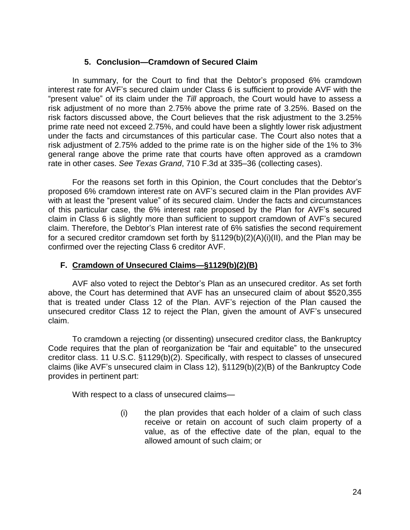## **5. Conclusion—Cramdown of Secured Claim**

In summary, for the Court to find that the Debtor's proposed 6% cramdown interest rate for AVF's secured claim under Class 6 is sufficient to provide AVF with the "present value" of its claim under the *Till* approach, the Court would have to assess a risk adjustment of no more than 2.75% above the prime rate of 3.25%. Based on the risk factors discussed above, the Court believes that the risk adjustment to the 3.25% prime rate need not exceed 2.75%, and could have been a slightly lower risk adjustment under the facts and circumstances of this particular case. The Court also notes that a risk adjustment of 2.75% added to the prime rate is on the higher side of the 1% to 3% general range above the prime rate that courts have often approved as a cramdown rate in other cases. *See Texas Grand*, 710 F.3d at 335–36 (collecting cases).

For the reasons set forth in this Opinion, the Court concludes that the Debtor's proposed 6% cramdown interest rate on AVF's secured claim in the Plan provides AVF with at least the "present value" of its secured claim. Under the facts and circumstances of this particular case, the 6% interest rate proposed by the Plan for AVF's secured claim in Class 6 is slightly more than sufficient to support cramdown of AVF's secured claim. Therefore, the Debtor's Plan interest rate of 6% satisfies the second requirement for a secured creditor cramdown set forth by §1129(b)(2)(A)(i)(II), and the Plan may be confirmed over the rejecting Class 6 creditor AVF.

### **F. Cramdown of Unsecured Claims—§1129(b)(2)(B)**

AVF also voted to reject the Debtor's Plan as an unsecured creditor. As set forth above, the Court has determined that AVF has an unsecured claim of about \$520,355 that is treated under Class 12 of the Plan. AVF's rejection of the Plan caused the unsecured creditor Class 12 to reject the Plan, given the amount of AVF's unsecured claim.

To cramdown a rejecting (or dissenting) unsecured creditor class, the Bankruptcy Code requires that the plan of reorganization be "fair and equitable" to the unsecured creditor class. 11 U.S.C. §1129(b)(2). Specifically, with respect to classes of unsecured claims (like AVF's unsecured claim in Class 12), §1129(b)(2)(B) of the Bankruptcy Code provides in pertinent part:

With respect to a class of unsecured claims—

(i) the plan provides that each holder of a claim of such class receive or retain on account of such claim property of a value, as of the effective date of the plan, equal to the allowed amount of such claim; or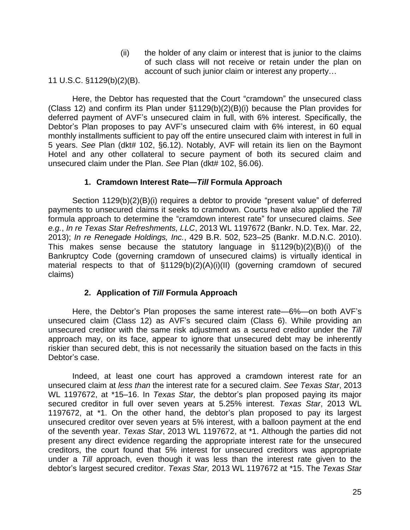(ii) the holder of any claim or interest that is junior to the claims of such class will not receive or retain under the plan on account of such junior claim or interest any property…

11 U.S.C. §1129(b)(2)(B).

Here, the Debtor has requested that the Court "cramdown" the unsecured class (Class 12) and confirm its Plan under §1129(b)(2)(B)(i) because the Plan provides for deferred payment of AVF's unsecured claim in full, with 6% interest. Specifically, the Debtor's Plan proposes to pay AVF's unsecured claim with 6% interest, in 60 equal monthly installments sufficient to pay off the entire unsecured claim with interest in full in 5 years. *See* Plan (dkt# 102, §6.12). Notably, AVF will retain its lien on the Baymont Hotel and any other collateral to secure payment of both its secured claim and unsecured claim under the Plan. *See* Plan (dkt# 102, §6.06).

### **1. Cramdown Interest Rate—***Till* **Formula Approach**

Section 1129(b)(2)(B)(i) requires a debtor to provide "present value" of deferred payments to unsecured claims it seeks to cramdown. Courts have also applied the *Till* formula approach to determine the "cramdown interest rate" for unsecured claims. *See e.g.*, *In re Texas Star Refreshments, LLC*, 2013 WL 1197672 (Bankr. N.D. Tex. Mar. 22, 2013); *In re Renegade Holdings, Inc.*, 429 B.R. 502, 523–25 (Bankr. M.D.N.C. 2010). This makes sense because the statutory language in §1129(b)(2)(B)(i) of the Bankruptcy Code (governing cramdown of unsecured claims) is virtually identical in material respects to that of §1129(b)(2)(A)(i)(II) (governing cramdown of secured claims)

### **2. Application of** *Till* **Formula Approach**

Here, the Debtor's Plan proposes the same interest rate—6%—on both AVF's unsecured claim (Class 12) as AVF's secured claim (Class 6). While providing an unsecured creditor with the same risk adjustment as a secured creditor under the *Till* approach may, on its face, appear to ignore that unsecured debt may be inherently riskier than secured debt, this is not necessarily the situation based on the facts in this Debtor's case.

Indeed, at least one court has approved a cramdown interest rate for an unsecured claim at *less than* the interest rate for a secured claim. *See Texas Star*, 2013 WL 1197672, at \*15–16. In *Texas Star,* the debtor's plan proposed paying its major secured creditor in full over seven years at 5.25% interest. *Texas Star*, 2013 WL 1197672, at \*1. On the other hand, the debtor's plan proposed to pay its largest unsecured creditor over seven years at 5% interest, with a balloon payment at the end of the seventh year. *Texas Star*, 2013 WL 1197672, at \*1. Although the parties did not present any direct evidence regarding the appropriate interest rate for the unsecured creditors, the court found that 5% interest for unsecured creditors was appropriate under a *Till* approach, even though it was less than the interest rate given to the debtor's largest secured creditor. *Texas Star,* 2013 WL 1197672 at \*15. The *Texas Star*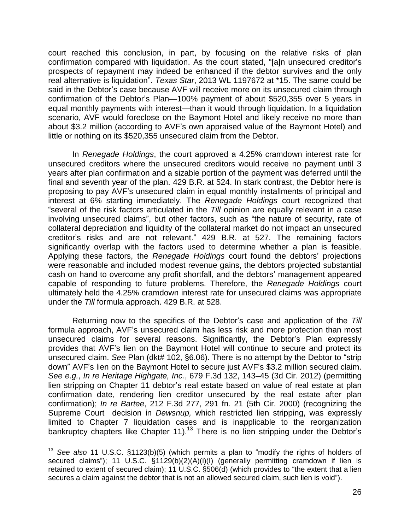court reached this conclusion, in part, by focusing on the relative risks of plan confirmation compared with liquidation. As the court stated, "[a]n unsecured creditor's prospects of repayment may indeed be enhanced if the debtor survives and the only real alternative is liquidation". *Texas Star*, 2013 WL 1197672 at \*15. The same could be said in the Debtor's case because AVF will receive more on its unsecured claim through confirmation of the Debtor's Plan—100% payment of about \$520,355 over 5 years in equal monthly payments with interest—than it would through liquidation. In a liquidation scenario, AVF would foreclose on the Baymont Hotel and likely receive no more than about \$3.2 million (according to AVF's own appraised value of the Baymont Hotel) and little or nothing on its \$520,355 unsecured claim from the Debtor.

In *Renegade Holdings*, the court approved a 4.25% cramdown interest rate for unsecured creditors where the unsecured creditors would receive no payment until 3 years after plan confirmation and a sizable portion of the payment was deferred until the final and seventh year of the plan. 429 B.R. at 524. In stark contrast, the Debtor here is proposing to pay AVF's unsecured claim in equal monthly installments of principal and interest at 6% starting immediately. The *Renegade Holdings* court recognized that "several of the risk factors articulated in the *Till* opinion are equally relevant in a case involving unsecured claims", but other factors, such as "the nature of security, rate of collateral depreciation and liquidity of the collateral market do not impact an unsecured creditor's risks and are not relevant." 429 B.R. at 527. The remaining factors significantly overlap with the factors used to determine whether a plan is feasible. Applying these factors, the *Renegade Holdings* court found the debtors' projections were reasonable and included modest revenue gains, the debtors projected substantial cash on hand to overcome any profit shortfall, and the debtors' management appeared capable of responding to future problems. Therefore, the *Renegade Holdings* court ultimately held the 4.25% cramdown interest rate for unsecured claims was appropriate under the *Till* formula approach. 429 B.R. at 528.

Returning now to the specifics of the Debtor's case and application of the *Till* formula approach, AVF's unsecured claim has less risk and more protection than most unsecured claims for several reasons. Significantly, the Debtor's Plan expressly provides that AVF's lien on the Baymont Hotel will continue to secure and protect its unsecured claim. *See* Plan (dkt# 102, §6.06). There is no attempt by the Debtor to "strip down" AVF's lien on the Baymont Hotel to secure just AVF's \$3.2 million secured claim. *See e.g.*, *In re Heritage Highgate, Inc.*, 679 F.3d 132, 143–45 (3d Cir. 2012) (permitting lien stripping on Chapter 11 debtor's real estate based on value of real estate at plan confirmation date, rendering lien creditor unsecured by the real estate after plan confirmation); *In re Bartee*, 212 F.3d 277, 291 fn. 21 (5th Cir. 2000) (recognizing the Supreme Court decision in *Dewsnup,* which restricted lien stripping, was expressly limited to Chapter 7 liquidation cases and is inapplicable to the reorganization bankruptcy chapters like Chapter 11).<sup>13</sup> There is no lien stripping under the Debtor's

 $\overline{a}$ 

<sup>&</sup>lt;sup>13</sup> See also 11 U.S.C. §1123(b)(5) (which permits a plan to "modify the rights of holders of secured claims"); 11 U.S.C. §1129(b)(2)(A)(i)(l) (generally permitting cramdown if lien is retained to extent of secured claim); 11 U.S.C. §506(d) (which provides to "the extent that a lien secures a claim against the debtor that is not an allowed secured claim, such lien is void").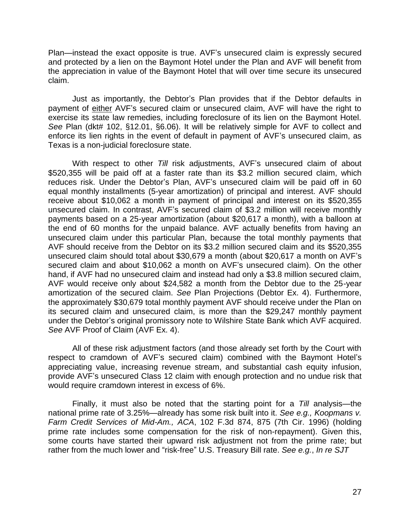Plan—instead the exact opposite is true. AVF's unsecured claim is expressly secured and protected by a lien on the Baymont Hotel under the Plan and AVF will benefit from the appreciation in value of the Baymont Hotel that will over time secure its unsecured claim.

Just as importantly, the Debtor's Plan provides that if the Debtor defaults in payment of either AVF's secured claim or unsecured claim, AVF will have the right to exercise its state law remedies, including foreclosure of its lien on the Baymont Hotel. *See* Plan (dkt# 102, §12.01, §6.06). It will be relatively simple for AVF to collect and enforce its lien rights in the event of default in payment of AVF's unsecured claim, as Texas is a non-judicial foreclosure state.

With respect to other *Till* risk adjustments, AVF's unsecured claim of about \$520,355 will be paid off at a faster rate than its \$3.2 million secured claim, which reduces risk. Under the Debtor's Plan, AVF's unsecured claim will be paid off in 60 equal monthly installments (5-year amortization) of principal and interest. AVF should receive about \$10,062 a month in payment of principal and interest on its \$520,355 unsecured claim. In contrast, AVF's secured claim of \$3.2 million will receive monthly payments based on a 25-year amortization (about \$20,617 a month), with a balloon at the end of 60 months for the unpaid balance. AVF actually benefits from having an unsecured claim under this particular Plan, because the total monthly payments that AVF should receive from the Debtor on its \$3.2 million secured claim and its \$520,355 unsecured claim should total about \$30,679 a month (about \$20,617 a month on AVF's secured claim and about \$10,062 a month on AVF's unsecured claim). On the other hand, if AVF had no unsecured claim and instead had only a \$3.8 million secured claim, AVF would receive only about \$24,582 a month from the Debtor due to the 25-year amortization of the secured claim. *See* Plan Projections (Debtor Ex. 4). Furthermore, the approximately \$30,679 total monthly payment AVF should receive under the Plan on its secured claim and unsecured claim, is more than the \$29,247 monthly payment under the Debtor's original promissory note to Wilshire State Bank which AVF acquired. *See* AVF Proof of Claim (AVF Ex. 4).

All of these risk adjustment factors (and those already set forth by the Court with respect to cramdown of AVF's secured claim) combined with the Baymont Hotel's appreciating value, increasing revenue stream, and substantial cash equity infusion, provide AVF's unsecured Class 12 claim with enough protection and no undue risk that would require cramdown interest in excess of 6%.

Finally, it must also be noted that the starting point for a *Till* analysis—the national prime rate of 3.25%—already has some risk built into it. *See e.g., Koopmans v. Farm Credit Services of Mid-Am., ACA*, 102 F.3d 874, 875 (7th Cir. 1996) (holding prime rate includes some compensation for the risk of non-repayment). Given this, some courts have started their upward risk adjustment not from the prime rate; but rather from the much lower and "risk-free" U.S. Treasury Bill rate. *See e.g.*, *In re SJT*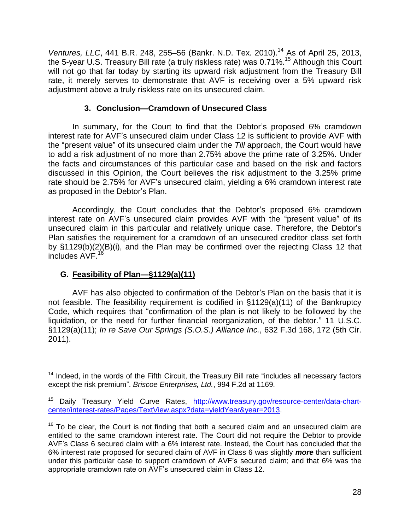*Ventures, LLC*, 441 B.R. 248, 255-56 (Bankr. N.D. Tex. 2010).<sup>14</sup> As of April 25, 2013, the 5-year U.S. Treasury Bill rate (a truly riskless rate) was 0.71%.<sup>15</sup> Although this Court will not go that far today by starting its upward risk adjustment from the Treasury Bill rate, it merely serves to demonstrate that AVF is receiving over a 5% upward risk adjustment above a truly riskless rate on its unsecured claim.

## **3. Conclusion—Cramdown of Unsecured Class**

In summary, for the Court to find that the Debtor's proposed 6% cramdown interest rate for AVF's unsecured claim under Class 12 is sufficient to provide AVF with the "present value" of its unsecured claim under the *Till* approach, the Court would have to add a risk adjustment of no more than 2.75% above the prime rate of 3.25%. Under the facts and circumstances of this particular case and based on the risk and factors discussed in this Opinion, the Court believes the risk adjustment to the 3.25% prime rate should be 2.75% for AVF's unsecured claim, yielding a 6% cramdown interest rate as proposed in the Debtor's Plan.

Accordingly, the Court concludes that the Debtor's proposed 6% cramdown interest rate on AVF's unsecured claim provides AVF with the "present value" of its unsecured claim in this particular and relatively unique case. Therefore, the Debtor's Plan satisfies the requirement for a cramdown of an unsecured creditor class set forth by §1129(b)(2)(B)(i), and the Plan may be confirmed over the rejecting Class 12 that includes AVF.<sup>16</sup>

# **G. Feasibility of Plan—§1129(a)(11)**

AVF has also objected to confirmation of the Debtor's Plan on the basis that it is not feasible. The feasibility requirement is codified in §1129(a)(11) of the Bankruptcy Code, which requires that "confirmation of the plan is not likely to be followed by the liquidation, or the need for further financial reorganization, of the debtor." 11 U.S.C. §1129(a)(11); *In re Save Our Springs (S.O.S.) Alliance Inc.*, 632 F.3d 168, 172 (5th Cir. 2011).

 $\overline{a}$  $14$  Indeed, in the words of the Fifth Circuit, the Treasury Bill rate "includes all necessary factors except the risk premium". *Briscoe Enterprises, Ltd.*, 994 F.2d at 1169.

Daily Treasury Yield Curve Rates, [http://www.treasury.gov/resource-center/data-chart](http://www.treasury.gov/resource-center/data-chart-center/interest-rates/Pages/TextView.aspx?data=yieldYear&year=2013)[center/interest-rates/Pages/TextView.aspx?data=yieldYear&year=2013.](http://www.treasury.gov/resource-center/data-chart-center/interest-rates/Pages/TextView.aspx?data=yieldYear&year=2013)

 $16$  To be clear, the Court is not finding that both a secured claim and an unsecured claim are entitled to the same cramdown interest rate. The Court did not require the Debtor to provide AVF's Class 6 secured claim with a 6% interest rate. Instead, the Court has concluded that the 6% interest rate proposed for secured claim of AVF in Class 6 was slightly *more* than sufficient under this particular case to support cramdown of AVF's secured claim; and that 6% was the appropriate cramdown rate on AVF's unsecured claim in Class 12.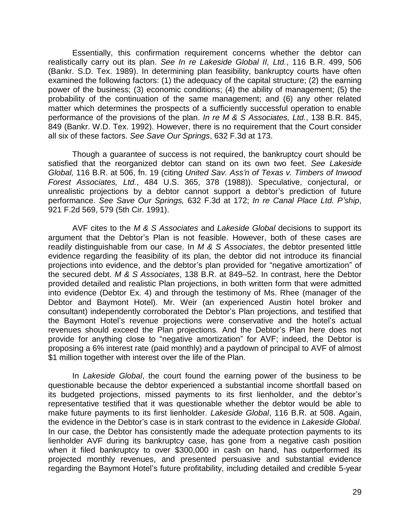Essentially, this confirmation requirement concerns whether the debtor can realistically carry out its plan. *See In re Lakeside Global II, Ltd.*, 116 B.R. 499, 506 (Bankr. S.D. Tex. 1989). In determining plan feasibility, bankruptcy courts have often examined the following factors: (1) the adequacy of the capital structure; (2) the earning power of the business; (3) economic conditions; (4) the ability of management; (5) the probability of the continuation of the same management; and (6) any other related matter which determines the prospects of a sufficiently successful operation to enable performance of the provisions of the plan. *In re M & S Associates, Ltd.*, 138 B.R. 845, 849 (Bankr. W.D. Tex. 1992). However, there is no requirement that the Court consider all six of these factors. *See Save Our Springs*, 632 F.3d at 173.

Though a guarantee of success is not required, the bankruptcy court should be satisfied that the reorganized debtor can stand on its own two feet. *See Lakeside Global,* 116 B.R. at 506, fn. 19 (citing *United Sav. Ass'n of Texas v. Timbers of Inwood Forest Associates, Ltd.*, 484 U.S. 365, 378 (1988)). Speculative, conjectural, or unrealistic projections by a debtor cannot support a debtor's prediction of future performance. *See Save Our Springs,* 632 F.3d at 172; *In re Canal Place Ltd. P'ship*, 921 F.2d 569, 579 (5th Cir. 1991).

AVF cites to the *M & S Associates* and *Lakeside Global* decisions to support its argument that the Debtor's Plan is not feasible. However, both of these cases are readily distinguishable from our case. In *M & S Associates*, the debtor presented little evidence regarding the feasibility of its plan, the debtor did not introduce its financial projections into evidence, and the debtor's plan provided for "negative amortization" of the secured debt. *M & S Associates*, 138 B.R. at 849–52. In contrast, here the Debtor provided detailed and realistic Plan projections, in both written form that were admitted into evidence (Debtor Ex. 4) and through the testimony of Ms. Rhee (manager of the Debtor and Baymont Hotel). Mr. Weir (an experienced Austin hotel broker and consultant) independently corroborated the Debtor's Plan projections, and testified that the Baymont Hotel's revenue projections were conservative and the hotel's actual revenues should exceed the Plan projections. And the Debtor's Plan here does not provide for anything close to "negative amortization" for AVF; indeed, the Debtor is proposing a 6% interest rate (paid monthly) and a paydown of principal to AVF of almost \$1 million together with interest over the life of the Plan.

In *Lakeside Global*, the court found the earning power of the business to be questionable because the debtor experienced a substantial income shortfall based on its budgeted projections, missed payments to its first lienholder, and the debtor's representative testified that it was questionable whether the debtor would be able to make future payments to its first lienholder. *Lakeside Global*, 116 B.R. at 508. Again, the evidence in the Debtor's case is in stark contrast to the evidence in *Lakeside Global*. In our case, the Debtor has consistently made the adequate protection payments to its lienholder AVF during its bankruptcy case, has gone from a negative cash position when it filed bankruptcy to over \$300,000 in cash on hand, has outperformed its projected monthly revenues, and presented persuasive and substantial evidence regarding the Baymont Hotel's future profitability, including detailed and credible 5-year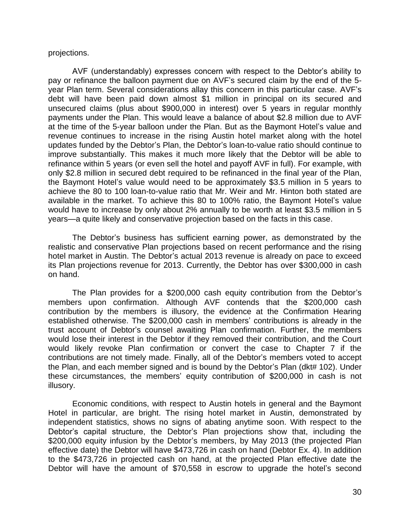#### projections.

AVF (understandably) expresses concern with respect to the Debtor's ability to pay or refinance the balloon payment due on AVF's secured claim by the end of the 5 year Plan term. Several considerations allay this concern in this particular case. AVF's debt will have been paid down almost \$1 million in principal on its secured and unsecured claims (plus about \$900,000 in interest) over 5 years in regular monthly payments under the Plan. This would leave a balance of about \$2.8 million due to AVF at the time of the 5-year balloon under the Plan. But as the Baymont Hotel's value and revenue continues to increase in the rising Austin hotel market along with the hotel updates funded by the Debtor's Plan, the Debtor's loan-to-value ratio should continue to improve substantially. This makes it much more likely that the Debtor will be able to refinance within 5 years (or even sell the hotel and payoff AVF in full). For example, with only \$2.8 million in secured debt required to be refinanced in the final year of the Plan, the Baymont Hotel's value would need to be approximately \$3.5 million in 5 years to achieve the 80 to 100 loan-to-value ratio that Mr. Weir and Mr. Hinton both stated are available in the market. To achieve this 80 to 100% ratio, the Baymont Hotel's value would have to increase by only about 2% annually to be worth at least \$3.5 million in 5 years—a quite likely and conservative projection based on the facts in this case.

The Debtor's business has sufficient earning power, as demonstrated by the realistic and conservative Plan projections based on recent performance and the rising hotel market in Austin. The Debtor's actual 2013 revenue is already on pace to exceed its Plan projections revenue for 2013. Currently, the Debtor has over \$300,000 in cash on hand.

The Plan provides for a \$200,000 cash equity contribution from the Debtor's members upon confirmation. Although AVF contends that the \$200,000 cash contribution by the members is illusory, the evidence at the Confirmation Hearing established otherwise. The \$200,000 cash in members' contributions is already in the trust account of Debtor's counsel awaiting Plan confirmation. Further, the members would lose their interest in the Debtor if they removed their contribution, and the Court would likely revoke Plan confirmation or convert the case to Chapter 7 if the contributions are not timely made. Finally, all of the Debtor's members voted to accept the Plan, and each member signed and is bound by the Debtor's Plan (dkt# 102). Under these circumstances, the members' equity contribution of \$200,000 in cash is not illusory.

Economic conditions, with respect to Austin hotels in general and the Baymont Hotel in particular, are bright. The rising hotel market in Austin, demonstrated by independent statistics, shows no signs of abating anytime soon. With respect to the Debtor's capital structure, the Debtor's Plan projections show that, including the \$200,000 equity infusion by the Debtor's members, by May 2013 (the projected Plan effective date) the Debtor will have \$473,726 in cash on hand (Debtor Ex. 4). In addition to the \$473,726 in projected cash on hand, at the projected Plan effective date the Debtor will have the amount of \$70,558 in escrow to upgrade the hotel's second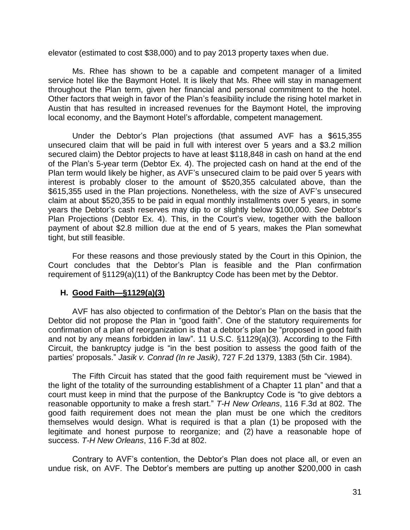elevator (estimated to cost \$38,000) and to pay 2013 property taxes when due.

Ms. Rhee has shown to be a capable and competent manager of a limited service hotel like the Baymont Hotel. It is likely that Ms. Rhee will stay in management throughout the Plan term, given her financial and personal commitment to the hotel. Other factors that weigh in favor of the Plan's feasibility include the rising hotel market in Austin that has resulted in increased revenues for the Baymont Hotel, the improving local economy, and the Baymont Hotel's affordable, competent management.

Under the Debtor's Plan projections (that assumed AVF has a \$615,355 unsecured claim that will be paid in full with interest over 5 years and a \$3.2 million secured claim) the Debtor projects to have at least \$118,848 in cash on hand at the end of the Plan's 5-year term (Debtor Ex. 4). The projected cash on hand at the end of the Plan term would likely be higher, as AVF's unsecured claim to be paid over 5 years with interest is probably closer to the amount of \$520,355 calculated above, than the \$615,355 used in the Plan projections. Nonetheless, with the size of AVF's unsecured claim at about \$520,355 to be paid in equal monthly installments over 5 years, in some years the Debtor's cash reserves may dip to or slightly below \$100,000. *See* Debtor's Plan Projections (Debtor Ex. 4). This, in the Court's view, together with the balloon payment of about \$2.8 million due at the end of 5 years, makes the Plan somewhat tight, but still feasible.

For these reasons and those previously stated by the Court in this Opinion, the Court concludes that the Debtor's Plan is feasible and the Plan confirmation requirement of §1129(a)(11) of the Bankruptcy Code has been met by the Debtor.

### **H. Good Faith—§1129(a)(3)**

AVF has also objected to confirmation of the Debtor's Plan on the basis that the Debtor did not propose the Plan in "good faith". One of the statutory requirements for confirmation of a plan of reorganization is that a debtor's plan be "proposed in good faith and not by any means forbidden in law". 11 U.S.C. §1129(a)(3). According to the Fifth Circuit, the bankruptcy judge is "in the best position to assess the good faith of the parties' proposals." *Jasik v. Conrad (In re Jasik)*, 727 F.2d 1379, 1383 (5th Cir. 1984).

The Fifth Circuit has stated that the good faith requirement must be "viewed in the light of the totality of the surrounding establishment of a Chapter 11 plan" and that a court must keep in mind that the purpose of the Bankruptcy Code is "to give debtors a reasonable opportunity to make a fresh start." *T-H New Orleans*, 116 F.3d at 802. The good faith requirement does not mean the plan must be one which the creditors themselves would design. What is required is that a plan (1) be proposed with the legitimate and honest purpose to reorganize; and (2) have a reasonable hope of success. *T-H New Orleans*, 116 F.3d at 802.

Contrary to AVF's contention, the Debtor's Plan does not place all, or even an undue risk, on AVF. The Debtor's members are putting up another \$200,000 in cash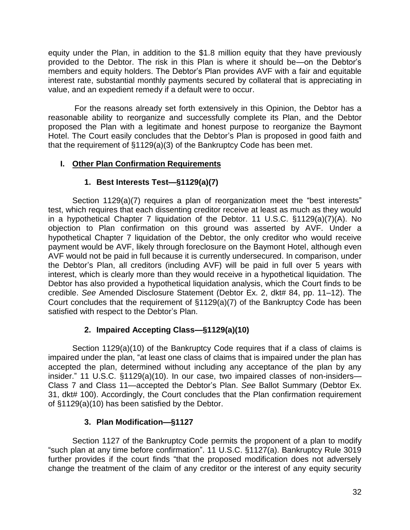equity under the Plan, in addition to the \$1.8 million equity that they have previously provided to the Debtor. The risk in this Plan is where it should be—on the Debtor's members and equity holders. The Debtor's Plan provides AVF with a fair and equitable interest rate, substantial monthly payments secured by collateral that is appreciating in value, and an expedient remedy if a default were to occur.

For the reasons already set forth extensively in this Opinion, the Debtor has a reasonable ability to reorganize and successfully complete its Plan, and the Debtor proposed the Plan with a legitimate and honest purpose to reorganize the Baymont Hotel. The Court easily concludes that the Debtor's Plan is proposed in good faith and that the requirement of §1129(a)(3) of the Bankruptcy Code has been met.

# **I. Other Plan Confirmation Requirements**

# **1. Best Interests Test—§1129(a)(7)**

Section 1129(a)(7) requires a plan of reorganization meet the "best interests" test, which requires that each dissenting creditor receive at least as much as they would in a hypothetical Chapter 7 liquidation of the Debtor. 11 U.S.C. §1129(a)(7)(A). No objection to Plan confirmation on this ground was asserted by AVF. Under a hypothetical Chapter 7 liquidation of the Debtor, the only creditor who would receive payment would be AVF, likely through foreclosure on the Baymont Hotel, although even AVF would not be paid in full because it is currently undersecured. In comparison, under the Debtor's Plan, all creditors (including AVF) will be paid in full over 5 years with interest, which is clearly more than they would receive in a hypothetical liquidation. The Debtor has also provided a hypothetical liquidation analysis, which the Court finds to be credible. *See* Amended Disclosure Statement (Debtor Ex. 2, dkt# 84, pp. 11–12). The Court concludes that the requirement of §1129(a)(7) of the Bankruptcy Code has been satisfied with respect to the Debtor's Plan.

# **2. Impaired Accepting Class—§1129(a)(10)**

Section 1129(a)(10) of the Bankruptcy Code requires that if a class of claims is impaired under the plan, "at least one class of claims that is impaired under the plan has accepted the plan, determined without including any acceptance of the plan by any insider." 11 U.S.C. §1129(a)(10). In our case, two impaired classes of non-insiders— Class 7 and Class 11—accepted the Debtor's Plan. *See* Ballot Summary (Debtor Ex. 31, dkt# 100). Accordingly, the Court concludes that the Plan confirmation requirement of §1129(a)(10) has been satisfied by the Debtor.

# **3. Plan Modification—§1127**

Section 1127 of the Bankruptcy Code permits the proponent of a plan to modify "such plan at any time before confirmation". 11 U.S.C. §1127(a). Bankruptcy Rule 3019 further provides if the court finds "that the proposed modification does not adversely change the treatment of the claim of any creditor or the interest of any equity security